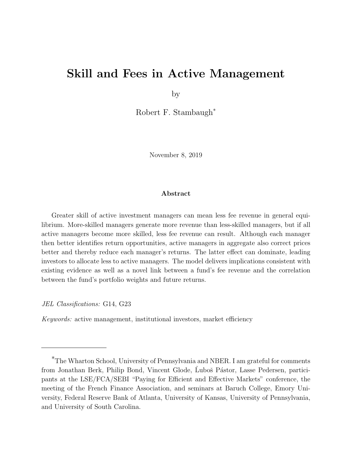# Skill and Fees in Active Management

by

Robert F. Stambaugh\*

November 8, 2019

#### Abstract

Greater skill of active investment managers can mean less fee revenue in general equilibrium. More-skilled managers generate more revenue than less-skilled managers, but if all active managers become more skilled, less fee revenue can result. Although each manager then better identifies return opportunities, active managers in aggregate also correct prices better and thereby reduce each manager's returns. The latter effect can dominate, leading investors to allocate less to active managers. The model delivers implications consistent with existing evidence as well as a novel link between a fund's fee revenue and the correlation between the fund's portfolio weights and future returns.

JEL Classifications: G14, G23

Keywords: active management, institutional investors, market efficiency

<sup>\*</sup>The Wharton School, University of Pennsylvania and NBER. I am grateful for comments from Jonathan Berk, Philip Bond, Vincent Glode, Luboš Pástor, Lasse Pedersen, participants at the LSE/FCA/SEBI "Paying for Efficient and Effective Markets" conference, the meeting of the French Finance Association, and seminars at Baruch College, Emory University, Federal Reserve Bank of Atlanta, University of Kansas, University of Pennsylvania, and University of South Carolina.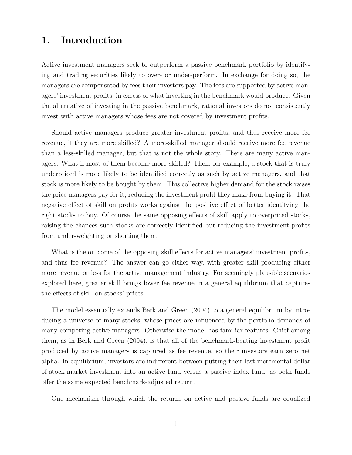## 1. Introduction

Active investment managers seek to outperform a passive benchmark portfolio by identifying and trading securities likely to over- or under-perform. In exchange for doing so, the managers are compensated by fees their investors pay. The fees are supported by active managers' investment profits, in excess of what investing in the benchmark would produce. Given the alternative of investing in the passive benchmark, rational investors do not consistently invest with active managers whose fees are not covered by investment profits.

Should active managers produce greater investment profits, and thus receive more fee revenue, if they are more skilled? A more-skilled manager should receive more fee revenue than a less-skilled manager, but that is not the whole story. There are many active managers. What if most of them become more skilled? Then, for example, a stock that is truly underpriced is more likely to be identified correctly as such by active managers, and that stock is more likely to be bought by them. This collective higher demand for the stock raises the price managers pay for it, reducing the investment profit they make from buying it. That negative effect of skill on profits works against the positive effect of better identifying the right stocks to buy. Of course the same opposing effects of skill apply to overpriced stocks, raising the chances such stocks are correctly identified but reducing the investment profits from under-weighting or shorting them.

What is the outcome of the opposing skill effects for active managers' investment profits, and thus fee revenue? The answer can go either way, with greater skill producing either more revenue or less for the active management industry. For seemingly plausible scenarios explored here, greater skill brings lower fee revenue in a general equilibrium that captures the effects of skill on stocks' prices.

The model essentially extends Berk and Green (2004) to a general equilibrium by introducing a universe of many stocks, whose prices are influenced by the portfolio demands of many competing active managers. Otherwise the model has familiar features. Chief among them, as in Berk and Green (2004), is that all of the benchmark-beating investment profit produced by active managers is captured as fee revenue, so their investors earn zero net alpha. In equilibrium, investors are indifferent between putting their last incremental dollar of stock-market investment into an active fund versus a passive index fund, as both funds offer the same expected benchmark-adjusted return.

One mechanism through which the returns on active and passive funds are equalized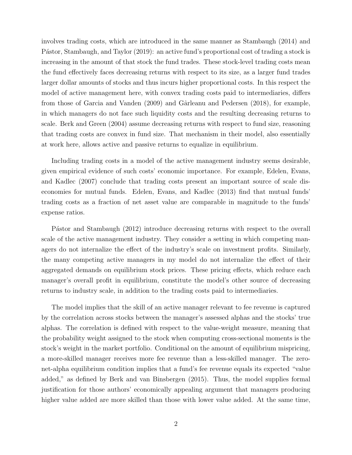involves trading costs, which are introduced in the same manner as Stambaugh (2014) and Pástor, Stambaugh, and Taylor (2019): an active fund's proportional cost of trading a stock is increasing in the amount of that stock the fund trades. These stock-level trading costs mean the fund effectively faces decreasing returns with respect to its size, as a larger fund trades larger dollar amounts of stocks and thus incurs higher proportional costs. In this respect the model of active management here, with convex trading costs paid to intermediaries, differs from those of Garcia and Vanden (2009) and Gârleanu and Pedersen (2018), for example, in which managers do not face such liquidity costs and the resulting decreasing returns to scale. Berk and Green (2004) assume decreasing returns with respect to fund size, reasoning that trading costs are convex in fund size. That mechanism in their model, also essentially at work here, allows active and passive returns to equalize in equilibrium.

Including trading costs in a model of the active management industry seems desirable, given empirical evidence of such costs' economic importance. For example, Edelen, Evans, and Kadlec (2007) conclude that trading costs present an important source of scale diseconomies for mutual funds. Edelen, Evans, and Kadlec (2013) find that mutual funds' trading costs as a fraction of net asset value are comparable in magnitude to the funds' expense ratios.

Pástor and Stambaugh (2012) introduce decreasing returns with respect to the overall scale of the active management industry. They consider a setting in which competing managers do not internalize the effect of the industry's scale on investment profits. Similarly, the many competing active managers in my model do not internalize the effect of their aggregated demands on equilibrium stock prices. These pricing effects, which reduce each manager's overall profit in equilibrium, constitute the model's other source of decreasing returns to industry scale, in addition to the trading costs paid to intermediaries.

The model implies that the skill of an active manager relevant to fee revenue is captured by the correlation across stocks between the manager's assessed alphas and the stocks' true alphas. The correlation is defined with respect to the value-weight measure, meaning that the probability weight assigned to the stock when computing cross-sectional moments is the stock's weight in the market portfolio. Conditional on the amount of equilibrium mispricing, a more-skilled manager receives more fee revenue than a less-skilled manager. The zeronet-alpha equilibrium condition implies that a fund's fee revenue equals its expected "value added," as defined by Berk and van Binsbergen (2015). Thus, the model supplies formal justification for those authors' economically appealing argument that managers producing higher value added are more skilled than those with lower value added. At the same time,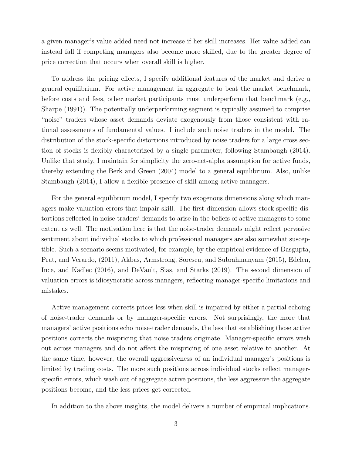a given manager's value added need not increase if her skill increases. Her value added can instead fall if competing managers also become more skilled, due to the greater degree of price correction that occurs when overall skill is higher.

To address the pricing effects, I specify additional features of the market and derive a general equilibrium. For active management in aggregate to beat the market benchmark, before costs and fees, other market participants must underperform that benchmark (e.g., Sharpe (1991)). The potentially underperforming segment is typically assumed to comprise "noise" traders whose asset demands deviate exogenously from those consistent with rational assessments of fundamental values. I include such noise traders in the model. The distribution of the stock-specific distortions introduced by noise traders for a large cross section of stocks is flexibly characterized by a single parameter, following Stambaugh (2014). Unlike that study, I maintain for simplicity the zero-net-alpha assumption for active funds, thereby extending the Berk and Green (2004) model to a general equilibrium. Also, unlike Stambaugh (2014), I allow a flexible presence of skill among active managers.

For the general equilibrium model, I specify two exogenous dimensions along which managers make valuation errors that impair skill. The first dimension allows stock-specific distortions reflected in noise-traders' demands to arise in the beliefs of active managers to some extent as well. The motivation here is that the noise-trader demands might reflect pervasive sentiment about individual stocks to which professional managers are also somewhat susceptible. Such a scenario seems motivated, for example, by the empirical evidence of Dasgupta, Prat, and Verardo, (2011), Akbas, Armstrong, Sorescu, and Subrahmanyam (2015), Edelen, Ince, and Kadlec (2016), and DeVault, Sias, and Starks (2019). The second dimension of valuation errors is idiosyncratic across managers, reflecting manager-specific limitations and mistakes.

Active management corrects prices less when skill is impaired by either a partial echoing of noise-trader demands or by manager-specific errors. Not surprisingly, the more that managers' active positions echo noise-trader demands, the less that establishing those active positions corrects the mispricing that noise traders originate. Manager-specific errors wash out across managers and do not affect the mispricing of one asset relative to another. At the same time, however, the overall aggressiveness of an individual manager's positions is limited by trading costs. The more such positions across individual stocks reflect managerspecific errors, which wash out of aggregate active positions, the less aggressive the aggregate positions become, and the less prices get corrected.

In addition to the above insights, the model delivers a number of empirical implications.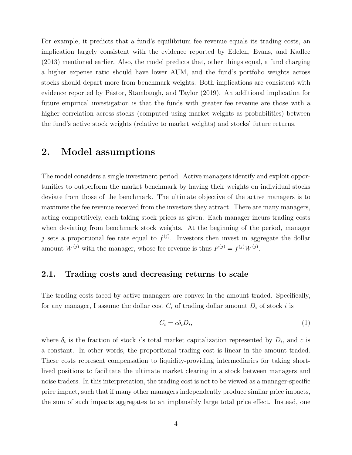For example, it predicts that a fund's equilibrium fee revenue equals its trading costs, an implication largely consistent with the evidence reported by Edelen, Evans, and Kadlec (2013) mentioned earlier. Also, the model predicts that, other things equal, a fund charging a higher expense ratio should have lower AUM, and the fund's portfolio weights across stocks should depart more from benchmark weights. Both implications are consistent with evidence reported by Pástor, Stambaugh, and Taylor (2019). An additional implication for future empirical investigation is that the funds with greater fee revenue are those with a higher correlation across stocks (computed using market weights as probabilities) between the fund's active stock weights (relative to market weights) and stocks' future returns.

### 2. Model assumptions

The model considers a single investment period. Active managers identify and exploit opportunities to outperform the market benchmark by having their weights on individual stocks deviate from those of the benchmark. The ultimate objective of the active managers is to maximize the fee revenue received from the investors they attract. There are many managers, acting competitively, each taking stock prices as given. Each manager incurs trading costs when deviating from benchmark stock weights. At the beginning of the period, manager j sets a proportional fee rate equal to  $f^{(j)}$ . Investors then invest in aggregate the dollar amount  $W^{(j)}$  with the manager, whose fee revenue is thus  $F^{(j)} = f^{(j)}W^{(j)}$ .

#### 2.1. Trading costs and decreasing returns to scale

The trading costs faced by active managers are convex in the amount traded. Specifically, for any manager, I assume the dollar cost  $C_i$  of trading dollar amount  $D_i$  of stock i is

$$
C_i = c\delta_i D_i,\tag{1}
$$

where  $\delta_i$  is the fraction of stock i's total market capitalization represented by  $D_i$ , and c is a constant. In other words, the proportional trading cost is linear in the amount traded. These costs represent compensation to liquidity-providing intermediaries for taking shortlived positions to facilitate the ultimate market clearing in a stock between managers and noise traders. In this interpretation, the trading cost is not to be viewed as a manager-specific price impact, such that if many other managers independently produce similar price impacts, the sum of such impacts aggregates to an implausibly large total price effect. Instead, one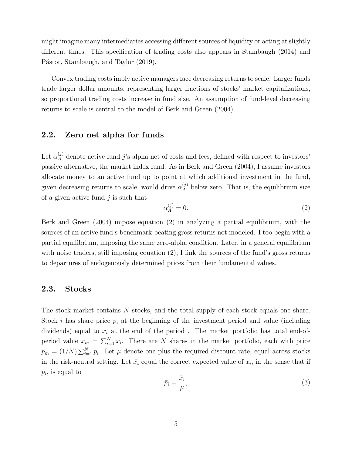might imagine many intermediaries accessing different sources of liquidity or acting at slightly different times. This specification of trading costs also appears in Stambaugh (2014) and Pástor, Stambaugh, and Taylor (2019).

Convex trading costs imply active managers face decreasing returns to scale. Larger funds trade larger dollar amounts, representing larger fractions of stocks' market capitalizations, so proportional trading costs increase in fund size. An assumption of fund-level decreasing returns to scale is central to the model of Berk and Green (2004).

#### 2.2. Zero net alpha for funds

Let  $\alpha_A^{(j)}$  denote active fund j's alpha net of costs and fees, defined with respect to investors' passive alternative, the market index fund. As in Berk and Green (2004), I assume investors allocate money to an active fund up to point at which additional investment in the fund, given decreasing returns to scale, would drive  $\alpha_A^{(j)}$  below zero. That is, the equilibrium size of a given active fund  $j$  is such that

$$
\alpha_A^{(j)} = 0.\tag{2}
$$

Berk and Green (2004) impose equation (2) in analyzing a partial equilibrium, with the sources of an active fund's benchmark-beating gross returns not modeled. I too begin with a partial equilibrium, imposing the same zero-alpha condition. Later, in a general equilibrium with noise traders, still imposing equation (2), I link the sources of the fund's gross returns to departures of endogenously determined prices from their fundamental values.

#### 2.3. Stocks

The stock market contains N stocks, and the total supply of each stock equals one share. Stock i has share price  $p_i$  at the beginning of the investment period and value (including dividends) equal to  $x_i$  at the end of the period. The market portfolio has total end-ofperiod value  $x_m = \sum_{i=1}^N x_i$ . There are N shares in the market portfolio, each with price  $p_m = (1/N) \sum_{i=1}^{N} p_i$ . Let  $\mu$  denote one plus the required discount rate, equal across stocks in the risk-neutral setting. Let  $\bar{x}_i$  equal the correct expected value of  $x_i$ , in the sense that if  $p_i$ , is equal to

$$
\bar{p}_i = \frac{\bar{x}_i}{\mu},\tag{3}
$$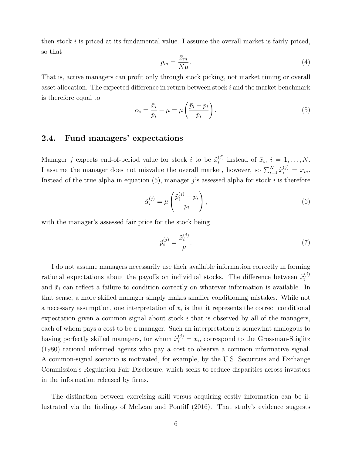then stock  $i$  is priced at its fundamental value. I assume the overall market is fairly priced, so that

$$
p_m = \frac{\bar{x}_m}{N\mu}.\tag{4}
$$

That is, active managers can profit only through stock picking, not market timing or overall asset allocation. The expected difference in return between stock i and the market benchmark is therefore equal to

$$
\alpha_i = \frac{\bar{x}_i}{p_i} - \mu = \mu \left( \frac{\bar{p}_i - p_i}{p_i} \right). \tag{5}
$$

### 2.4. Fund managers' expectations

Manager *j* expects end-of-period value for stock *i* to be  $\tilde{x}_i^{(j)}$  $i^{(j)}$  instead of  $\bar{x}_i$ ,  $i = 1, \ldots, N$ . I assume the manager does not misvalue the overall market, however, so  $\sum_{i=1}^{N} \tilde{x}_i^{(j)} = \bar{x}_m$ . Instead of the true alpha in equation  $(5)$ , manager j's assessed alpha for stock i is therefore

$$
\tilde{\alpha}_i^{(j)} = \mu \left( \frac{\tilde{p}_i^{(j)} - p_i}{p_i} \right),\tag{6}
$$

with the manager's assessed fair price for the stock being

$$
\tilde{p}_i^{(j)} = \frac{\tilde{x}_i^{(j)}}{\mu}.\tag{7}
$$

I do not assume managers necessarily use their available information correctly in forming rational expectations about the payoffs on individual stocks. The difference between  $\tilde{x}_i^{(j)}$ i and  $\bar{x}_i$  can reflect a failure to condition correctly on whatever information is available. In that sense, a more skilled manager simply makes smaller conditioning mistakes. While not a necessary assumption, one interpretation of  $\bar{x}_i$  is that it represents the correct conditional expectation given a common signal about stock  $i$  that is observed by all of the managers, each of whom pays a cost to be a manager. Such an interpretation is somewhat analogous to having perfectly skilled managers, for whom  $\tilde{x}_i^{(j)} = \bar{x}_i$ , correspond to the Grossman-Stiglitz (1980) rational informed agents who pay a cost to observe a common informative signal. A common-signal scenario is motivated, for example, by the U.S. Securities and Exchange Commission's Regulation Fair Disclosure, which seeks to reduce disparities across investors in the information released by firms.

The distinction between exercising skill versus acquiring costly information can be illustrated via the findings of McLean and Pontiff (2016). That study's evidence suggests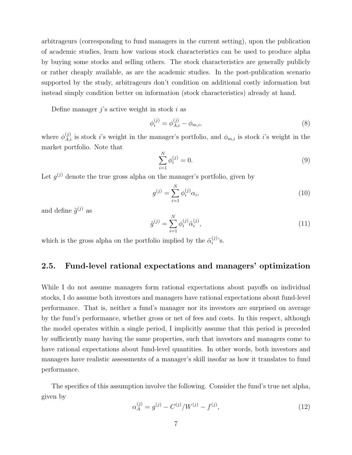arbitrageurs (corresponding to fund managers in the current setting), upon the publication of academic studies, learn how various stock characteristics can be used to produce alpha by buying some stocks and selling others. The stock characteristics are generally publicly or rather cheaply available, as are the academic studies. In the post-publication scenario supported by the study, arbitrageurs don't condition on additional costly information but instead simply condition better on information (stock characteristics) already at hand.

Define manager  $j$ 's active weight in stock i as

$$
\phi_i^{(j)} = \phi_{A,i}^{(j)} - \phi_{m,i},\tag{8}
$$

where  $\phi_{A,i}^{(j)}$  is stock *i*'s weight in the manager's portfolio, and  $\phi_{m,i}$  is stock *i*'s weight in the market portfolio. Note that

$$
\sum_{i=1}^{N} \phi_i^{(j)} = 0.
$$
\n(9)

Let  $g^{(j)}$  denote the true gross alpha on the manager's portfolio, given by

$$
g^{(j)} = \sum_{i=1}^{N} \phi_i^{(j)} \alpha_i,
$$
\n(10)

and define  $\tilde{g}^{(j)}$  as

$$
\tilde{g}^{(j)} = \sum_{i=1}^{N} \phi_i^{(j)} \tilde{\alpha}_i^{(j)},
$$
\n(11)

which is the gross alpha on the portfolio implied by the  $\tilde{\alpha}_i^{(j)}$  $i^{(j)}$ 's.

### 2.5. Fund-level rational expectations and managers' optimization

While I do not assume managers form rational expectations about payoffs on individual stocks, I do assume both investors and managers have rational expectations about fund-level performance. That is, neither a fund's manager nor its investors are surprised on average by the fund's performance, whether gross or net of fees and costs. In this respect, although the model operates within a single period, I implicitly assume that this period is preceded by sufficiently many having the same properties, such that investors and managers come to have rational expectations about fund-level quantities. In other words, both investors and managers have realistic assessments of a manager's skill insofar as how it translates to fund performance.

The specifics of this assumption involve the following. Consider the fund's true net alpha, given by

$$
\alpha_A^{(j)} = g^{(j)} - C^{(j)}/W^{(j)} - f^{(j)},\tag{12}
$$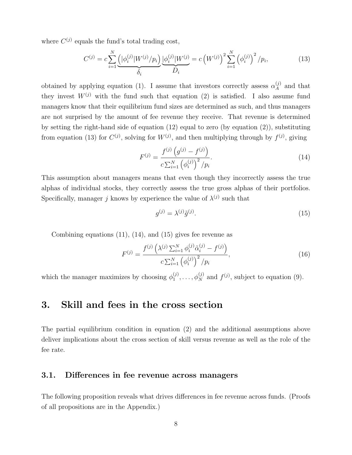where  $C^{(j)}$  equals the fund's total trading cost,

$$
C^{(j)} = c \sum_{i=1}^{N} \underbrace{\left( |\phi_i^{(j)}| W^{(j)} / p_i \right)}_{\delta_i} \underbrace{|\phi_i^{(j)}| W^{(j)}}_{D_i} = c \left( W^{(j)} \right)^2 \sum_{i=1}^{N} \left( \phi_i^{(j)} \right)^2 / p_i, \tag{13}
$$

obtained by applying equation (1). I assume that investors correctly assess  $\alpha_A^{(j)}$  and that they invest  $W^{(j)}$  with the fund such that equation (2) is satisfied. I also assume fund managers know that their equilibrium fund sizes are determined as such, and thus managers are not surprised by the amount of fee revenue they receive. That revenue is determined by setting the right-hand side of equation  $(12)$  equal to zero (by equation  $(2)$ ), substituting from equation (13) for  $C^{(j)}$ , solving for  $W^{(j)}$ , and then multiplying through by  $f^{(j)}$ , giving

$$
F^{(j)} = \frac{f^{(j)}\left(g^{(j)} - f^{(j)}\right)}{c \sum_{i=1}^{N} \left(\phi_i^{(j)}\right)^2 / p_i}.
$$
\n(14)

This assumption about managers means that even though they incorrectly assess the true alphas of individual stocks, they correctly assess the true gross alphas of their portfolios. Specifically, manager j knows by experience the value of  $\lambda^{(j)}$  such that

$$
g^{(j)} = \lambda^{(j)} \tilde{g}^{(j)}.\tag{15}
$$

Combining equations  $(11)$ ,  $(14)$ , and  $(15)$  gives fee revenue as

$$
F^{(j)} = \frac{f^{(j)}\left(\lambda^{(j)}\sum_{i=1}^{N}\phi_i^{(j)}\tilde{\alpha}_i^{(j)} - f^{(j)}\right)}{c\sum_{i=1}^{N}\left(\phi_i^{(j)}\right)^2/p_i},\tag{16}
$$

which the manager maximizes by choosing  $\phi_1^{(j)}$  $j_1^{(j)}, \ldots, \phi_N^{(j)}$  and  $f^{(j)}$ , subject to equation (9).

## 3. Skill and fees in the cross section

The partial equilibrium condition in equation (2) and the additional assumptions above deliver implications about the cross section of skill versus revenue as well as the role of the fee rate.

#### 3.1. Differences in fee revenue across managers

The following proposition reveals what drives differences in fee revenue across funds. (Proofs of all propositions are in the Appendix.)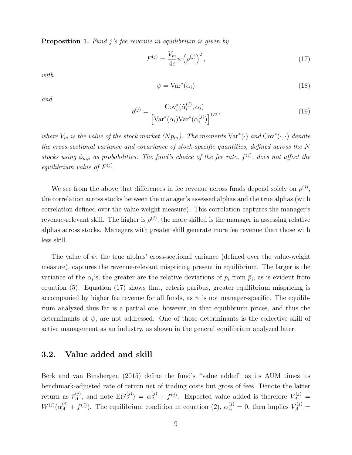**Proposition 1.** Fund j's fee revenue in equilibrium is given by

$$
F^{(j)} = \frac{V_m}{4c} \psi \left( \rho^{(j)} \right)^2, \tag{17}
$$

with

$$
\psi = \text{Var}^*(\alpha_i) \tag{18}
$$

and

$$
\rho^{(j)} = \frac{\text{Cov}_i^*(\tilde{\alpha}_i^{(j)}, \alpha_i)}{\left[\text{Var}^*(\alpha_i)\text{Var}^*(\tilde{\alpha}_i^{(j)})\right]^{1/2}},\tag{19}
$$

where  $V_m$  is the value of the stock market  $(Np_m)$ . The moments  $Var^*(\cdot)$  and  $Cov^*(\cdot, \cdot)$  denote the cross-sectional variance and covariance of stock-specific quantities, defined across the N stocks using  $\phi_{m,i}$  as probabilities. The fund's choice of the fee rate,  $f^{(j)}$ , does not affect the equilibrium value of  $F^{(j)}$ .

We see from the above that differences in fee revenue across funds depend solely on  $\rho^{(j)}$ , the correlation across stocks between the manager's assessed alphas and the true alphas (with correlation defined over the value-weight measure). This correlation captures the manager's revenue-relevant skill. The higher is  $\rho^{(j)}$ , the more skilled is the manager in assessing relative alphas across stocks. Managers with greater skill generate more fee revenue than those with less skill.

The value of  $\psi$ , the true alphas' cross-sectional variance (defined over the value-weight measure), captures the revenue-relevant mispricing present in equilibrium. The larger is the variance of the  $\alpha_i$ 's, the greater are the relative deviations of  $p_i$  from  $\bar{p}_i$ , as is evident from equation (5). Equation (17) shows that, ceteris paribus, greater equilibrium mispricing is accompanied by higher fee revenue for all funds, as  $\psi$  is not manager-specific. The equilibrium analyzed thus far is a partial one, however, in that equilibrium prices, and thus the determinants of  $\psi$ , are not addressed. One of those determinants is the collective skill of active management as an industry, as shown in the general equilibrium analyzed later.

#### 3.2. Value added and skill

Berk and van Binsbergen (2015) define the fund's "value added" as its AUM times its benchmark-adjusted rate of return net of trading costs but gross of fees. Denote the latter return as  $\tilde{r}_A^{(j)}$ , and note  $E(\tilde{r}_A^{(j)}) = \alpha_A^{(j)} + f^{(j)}$ . Expected value added is therefore  $V_A^{(j)}$  =  $W^{(j)}(\alpha_A^{(j)} + f^{(j)})$ . The equilibrium condition in equation (2),  $\alpha_A^{(j)} = 0$ , then implies  $V_A^{(j)} =$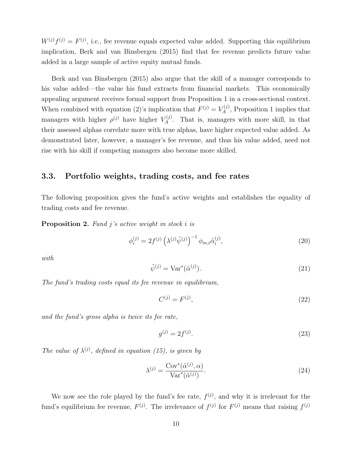$W^{(j)}f^{(j)} = F^{(j)}$ , i.e., fee revenue equals expected value added. Supporting this equilibrium implication, Berk and van Binsbergen (2015) find that fee revenue predicts future value added in a large sample of active equity mutual funds.

Berk and van Binsbergen (2015) also argue that the skill of a manager corresponds to his value added—the value his fund extracts from financial markets. This economically appealing argument receives formal support from Proposition 1 in a cross-sectional context. When combined with equation (2)'s implication that  $F^{(j)} = V_A^{(j)}$ , Proposition 1 implies that managers with higher  $\rho^{(j)}$  have higher  $V_A^{(j)}$ . That is, managers with more skill, in that their assessed alphas correlate more with true alphas, have higher expected value added. As demonstrated later, however, a manager's fee revenue, and thus his value added, need not rise with his skill if competing managers also become more skilled.

### 3.3. Portfolio weights, trading costs, and fee rates

The following proposition gives the fund's active weights and establishes the equality of trading costs and fee revenue.

**Proposition 2.** Fund j's active weight in stock i is

$$
\phi_i^{(j)} = 2f^{(j)} \left( \lambda^{(j)} \tilde{\psi}^{(j)} \right)^{-1} \phi_{m,i} \tilde{\alpha}_i^{(j)}, \tag{20}
$$

with

$$
\tilde{\psi}^{(j)} = \text{Var}^*(\tilde{\alpha}^{(j)}). \tag{21}
$$

The fund's trading costs equal its fee revenue in equilibrium,

$$
C^{(j)} = F^{(j)},\tag{22}
$$

and the fund's gross alpha is twice its fee rate,

$$
g^{(j)} = 2f^{(j)}.\t(23)
$$

The value of  $\lambda^{(j)}$ , defined in equation (15), is given by

$$
\lambda^{(j)} = \frac{\text{Cov}^*(\tilde{\alpha}^{(j)}, \alpha)}{\text{Var}^*(\tilde{\alpha}^{(j)})}.
$$
\n(24)

We now see the role played by the fund's fee rate,  $f^{(j)}$ , and why it is irrelevant for the fund's equilibrium fee revenue,  $F^{(j)}$ . The irrelevance of  $f^{(j)}$  for  $F^{(j)}$  means that raising  $f^{(j)}$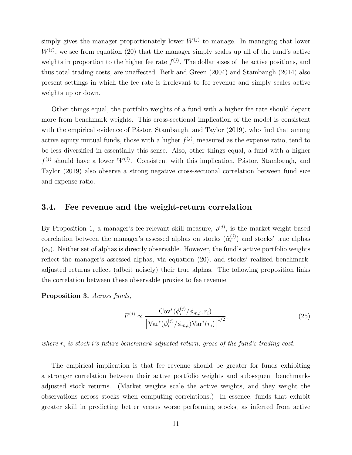simply gives the manager proportionately lower  $W^{(j)}$  to manage. In managing that lower  $W^{(j)}$ , we see from equation (20) that the manager simply scales up all of the fund's active weights in proportion to the higher fee rate  $f^{(j)}$ . The dollar sizes of the active positions, and thus total trading costs, are unaffected. Berk and Green (2004) and Stambaugh (2014) also present settings in which the fee rate is irrelevant to fee revenue and simply scales active weights up or down.

Other things equal, the portfolio weights of a fund with a higher fee rate should depart more from benchmark weights. This cross-sectional implication of the model is consistent with the empirical evidence of Pástor, Stambaugh, and Taylor (2019), who find that among active equity mutual funds, those with a higher  $f^{(j)}$ , measured as the expense ratio, tend to be less diversified in essentially this sense. Also, other things equal, a fund with a higher  $f^{(j)}$  should have a lower  $W^{(j)}$ . Consistent with this implication, Pástor, Stambaugh, and Taylor (2019) also observe a strong negative cross-sectional correlation between fund size and expense ratio.

#### 3.4. Fee revenue and the weight-return correlation

By Proposition 1, a manager's fee-relevant skill measure,  $\rho^{(j)}$ , is the market-weight-based correlation between the manager's assessed alphas on stocks  $(\tilde{\alpha}_i^{(j)})$  $i^{(j)}$  and stocks' true alphas  $(\alpha_i)$ . Neither set of alphas is directly observable. However, the fund's active portfolio weights reflect the manager's assessed alphas, via equation (20), and stocks' realized benchmarkadjusted returns reflect (albeit noisely) their true alphas. The following proposition links the correlation between these observable proxies to fee revenue.

Proposition 3. Across funds,

$$
F^{(j)} \propto \frac{\text{Cov}^*(\phi_i^{(j)}/\phi_{m,i}, r_i)}{\left[\text{Var}^*(\phi_i^{(j)}/\phi_{m,i})\text{Var}^*(r_i)\right]^{1/2}},\tag{25}
$$

where  $r_i$  is stock i's future benchmark-adjusted return, gross of the fund's trading cost.

The empirical implication is that fee revenue should be greater for funds exhibiting a stronger correlation between their active portfolio weights and subsequent benchmarkadjusted stock returns. (Market weights scale the active weights, and they weight the observations across stocks when computing correlations.) In essence, funds that exhibit greater skill in predicting better versus worse performing stocks, as inferred from active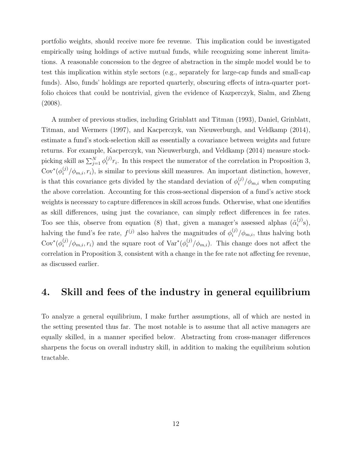portfolio weights, should receive more fee revenue. This implication could be investigated empirically using holdings of active mutual funds, while recognizing some inherent limitations. A reasonable concession to the degree of abstraction in the simple model would be to test this implication within style sectors (e.g., separately for large-cap funds and small-cap funds). Also, funds' holdings are reported quarterly, obscuring effects of intra-quarter portfolio choices that could be nontrivial, given the evidence of Kazperczyk, Sialm, and Zheng (2008).

A number of previous studies, including Grinblatt and Titman (1993), Daniel, Grinblatt, Titman, and Wermers (1997), and Kacperczyk, van Nieuwerburgh, and Veldkamp (2014), estimate a fund's stock-selection skill as essentially a covariance between weights and future returns. For example, Kacperczyk, van Nieuwerburgh, and Veldkamp (2014) measure stockpicking skill as  $\sum_{j=1}^{N} \phi_i^{(j)}$  $i^{(j)}r_i$ . In this respect the numerator of the correlation in Proposition 3,  $\text{Cov}^*(\phi_i^{(j)}/\phi_{m,i}, r_i)$ , is similar to previous skill measures. An important distinction, however, is that this covariance gets divided by the standard deviation of  $\phi_i^{(j)}/\phi_{m,i}$  when computing the above correlation. Accounting for this cross-sectional dispersion of a fund's active stock weights is necessary to capture differences in skill across funds. Otherwise, what one identifies as skill differences, using just the covariance, can simply reflect differences in fee rates. Too see this, observe from equation (8) that, given a manager's assessed alphas  $(\tilde{\alpha}_i^{(j)})$  $j^{(j)}_i$ s), halving the fund's fee rate,  $f^{(j)}$  also halves the magnitudes of  $\phi_i^{(j)}/\phi_{m,i}$ , thus halving both  $Cov^*(\phi_i^{(j)}/\phi_{m,i},r_i)$  and the square root of  $Var^*(\phi_i^{(j)}/\phi_{m,i})$ . This change does not affect the correlation in Proposition 3, consistent with a change in the fee rate not affecting fee revenue, as discussed earlier.

## 4. Skill and fees of the industry in general equilibrium

To analyze a general equilibrium, I make further assumptions, all of which are nested in the setting presented thus far. The most notable is to assume that all active managers are equally skilled, in a manner specified below. Abstracting from cross-manager differences sharpens the focus on overall industry skill, in addition to making the equilibrium solution tractable.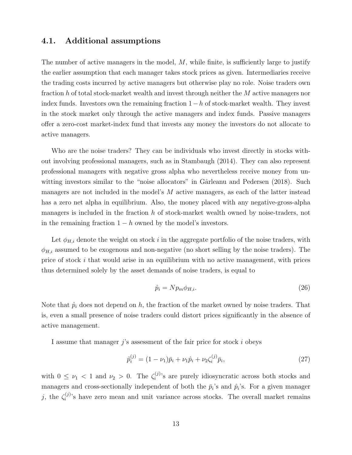#### 4.1. Additional assumptions

The number of active managers in the model,  $M$ , while finite, is sufficiently large to justify the earlier assumption that each manager takes stock prices as given. Intermediaries receive the trading costs incurred by active managers but otherwise play no role. Noise traders own fraction h of total stock-market wealth and invest through neither the M active managers nor index funds. Investors own the remaining fraction  $1-h$  of stock-market wealth. They invest in the stock market only through the active managers and index funds. Passive managers offer a zero-cost market-index fund that invests any money the investors do not allocate to active managers.

Who are the noise traders? They can be individuals who invest directly in stocks without involving professional managers, such as in Stambaugh (2014). They can also represent professional managers with negative gross alpha who nevertheless receive money from unwitting investors similar to the "noise allocators" in Gârleanu and Pedersen  $(2018)$ . Such managers are not included in the model's  $M$  active managers, as each of the latter instead has a zero net alpha in equilibrium. Also, the money placed with any negative-gross-alpha managers is included in the fraction h of stock-market wealth owned by noise-traders, not in the remaining fraction  $1 - h$  owned by the model's investors.

Let  $\phi_{H,i}$  denote the weight on stock i in the aggregate portfolio of the noise traders, with  $\phi_{H,i}$  assumed to be exogenous and non-negative (no short selling by the noise traders). The price of stock  $i$  that would arise in an equilibrium with no active management, with prices thus determined solely by the asset demands of noise traders, is equal to

$$
\hat{p}_i = N p_m \phi_{H,i}.\tag{26}
$$

Note that  $\hat{p}_i$  does not depend on h, the fraction of the market owned by noise traders. That is, even a small presence of noise traders could distort prices significantly in the absence of active management.

I assume that manager  $j$ 's assessment of the fair price for stock  $i$  obeys

$$
\tilde{p}_i^{(j)} = (1 - \nu_1)\bar{p}_i + \nu_1 \hat{p}_i + \nu_2 \zeta_i^{(j)} \bar{p}_i,\tag{27}
$$

with  $0 \leq \nu_1 < 1$  and  $\nu_2 > 0$ . The  $\zeta_i^{(j)}$  $i^{(j)}$ 's are purely idiosyncratic across both stocks and managers and cross-sectionally independent of both the  $\bar{p}_i$ 's and  $\hat{p}_i$ 's. For a given manager j, the  $\zeta_i^{(j)}$  $i^{(j)}$ 's have zero mean and unit variance across stocks. The overall market remains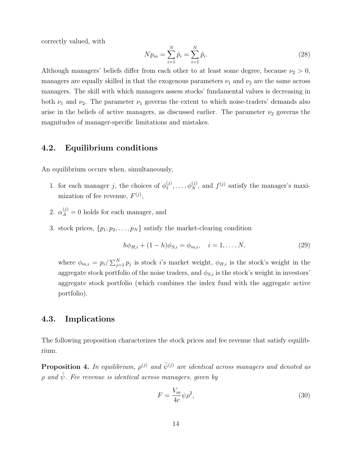correctly valued, with

$$
N p_m = \sum_{i=1}^{N} \hat{p}_i = \sum_{i=1}^{N} \tilde{p}_i.
$$
\n(28)

Although managers' beliefs differ from each other to at least some degree, because  $\nu_2 > 0$ , managers are equally skilled in that the exogenous parameters  $\nu_1$  and  $\nu_2$  are the same across managers. The skill with which managers assess stocks' fundamental values is decreasing in both  $\nu_1$  and  $\nu_2$ . The parameter  $\nu_1$  governs the extent to which noise-traders' demands also arise in the beliefs of active managers, as discussed earlier. The parameter  $\nu_2$  governs the magnitudes of manager-specific limitations and mistakes.

### 4.2. Equilibrium conditions

An equilibrium occurs when, simultaneously,

- 1. for each manager j, the choices of  $\phi_1^{(j)}$  $j_1^{(j)}, \ldots, \phi_N^{(j)}$ , and  $f^{(j)}$  satisfy the manager's maximization of fee revenue,  $F^{(j)}$ ,
- 2.  $\alpha_A^{(j)} = 0$  holds for each manager, and
- 3. stock prices,  $\{p_1, p_2, \ldots, p_N\}$  satisfy the market-clearing condition

$$
h\phi_{H,i} + (1-h)\phi_{S,i} = \phi_{m,i}, \quad i = 1, \dots, N,
$$
\n(29)

where  $\phi_{m,i} = p_i / \sum_{j=1}^{N} p_j$  is stock *i*'s market weight,  $\phi_{H,i}$  is the stock's weight in the aggregate stock portfolio of the noise traders, and  $\phi_{S,i}$  is the stock's weight in investors' aggregate stock portfolio (which combines the index fund with the aggregate active portfolio).

### 4.3. Implications

The following proposition characterizes the stock prices and fee revenue that satisfy equilibrium.

**Proposition 4.** In equilibrium,  $\rho^{(j)}$  and  $\tilde{\psi}^{(j)}$  are identical across managers and denoted as  $\rho$  and  $\tilde{\psi}$ . Fee revenue is identical across managers, given by

$$
F = \frac{V_m}{4c} \psi \rho^2,\tag{30}
$$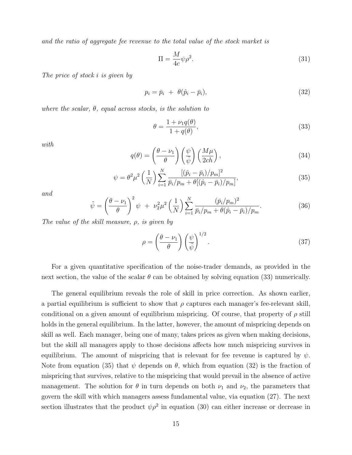and the ratio of aggregate fee revenue to the total value of the stock market is

$$
\Pi = \frac{M}{4c} \psi \rho^2. \tag{31}
$$

The price of stock i is given by

$$
p_i = \bar{p}_i + \theta(\hat{p}_i - \bar{p}_i), \qquad (32)
$$

where the scalar,  $\theta$ , equal across stocks, is the solution to

$$
\theta = \frac{1 + \nu_1 q(\theta)}{1 + q(\theta)},\tag{33}
$$

with

$$
q(\theta) = \left(\frac{\theta - \nu_1}{\theta}\right) \left(\frac{\psi}{\tilde{\psi}}\right) \left(\frac{M\mu}{2ch}\right),\tag{34}
$$

$$
\psi = \theta^2 \mu^2 \left(\frac{1}{N}\right) \sum_{i=1}^N \frac{[(\hat{p}_i - \bar{p}_i)/p_m]^2}{\bar{p}_i/p_m + \theta[(\hat{p}_i - \bar{p}_i)/p_m]},
$$
\n(35)

and

$$
\tilde{\psi} = \left(\frac{\theta - \nu_1}{\theta}\right)^2 \psi + \nu_2^2 \mu^2 \left(\frac{1}{N}\right) \sum_{i=1}^N \frac{(\bar{p}_i / p_m)^2}{\bar{p}_i / p_m + \theta(\hat{p}_i - \bar{p}_i) / p_m}.
$$
\n(36)

The value of the skill measure,  $\rho$ , is given by

$$
\rho = \left(\frac{\theta - \nu_1}{\theta}\right) \left(\frac{\psi}{\tilde{\psi}}\right)^{1/2}.
$$
\n(37)

For a given quantitative specification of the noise-trader demands, as provided in the next section, the value of the scalar  $\theta$  can be obtained by solving equation (33) numerically.

The general equilibrium reveals the role of skill in price correction. As shown earlier, a partial equilibrium is sufficient to show that  $\rho$  captures each manager's fee-relevant skill, conditional on a given amount of equilibrium mispricing. Of course, that property of  $\rho$  still holds in the general equilibrium. In the latter, however, the amount of mispricing depends on skill as well. Each manager, being one of many, takes prices as given when making decisions, but the skill all managers apply to those decisions affects how much mispricing survives in equilibrium. The amount of mispricing that is relevant for fee revenue is captured by  $\psi$ . Note from equation (35) that  $\psi$  depends on  $\theta$ , which from equation (32) is the fraction of mispricing that survives, relative to the mispricing that would prevail in the absence of active management. The solution for  $\theta$  in turn depends on both  $\nu_1$  and  $\nu_2$ , the parameters that govern the skill with which managers assess fundamental value, via equation (27). The next section illustrates that the product  $\psi \rho^2$  in equation (30) can either increase or decrease in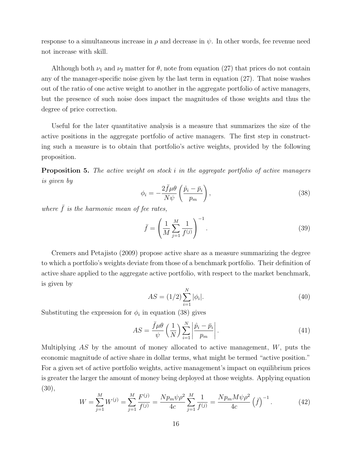response to a simultaneous increase in  $\rho$  and decrease in  $\psi$ . In other words, fee revenue need not increase with skill.

Although both  $\nu_1$  and  $\nu_2$  matter for  $\theta$ , note from equation (27) that prices do not contain any of the manager-specific noise given by the last term in equation (27). That noise washes out of the ratio of one active weight to another in the aggregate portfolio of active managers, but the presence of such noise does impact the magnitudes of those weights and thus the degree of price correction.

Useful for the later quantitative analysis is a measure that summarizes the size of the active positions in the aggregate portfolio of active managers. The first step in constructing such a measure is to obtain that portfolio's active weights, provided by the following proposition.

**Proposition 5.** The active weight on stock i in the aggregate portfolio of active managers is given by

$$
\phi_i = -\frac{2\bar{f}\mu\theta}{N\psi} \left(\frac{\hat{p}_i - \bar{p}_i}{p_m}\right),\tag{38}
$$

where  $\bar{f}$  is the harmonic mean of fee rates,

$$
\bar{f} = \left(\frac{1}{M} \sum_{j=1}^{M} \frac{1}{f^{(j)}}\right)^{-1}.
$$
\n(39)

Cremers and Petajisto (2009) propose active share as a measure summarizing the degree to which a portfolio's weights deviate from those of a benchmark portfolio. Their definition of active share applied to the aggregate active portfolio, with respect to the market benchmark, is given by

$$
AS = (1/2) \sum_{i=1}^{N} |\phi_i|.
$$
 (40)

Substituting the expression for  $\phi_i$  in equation (38) gives

$$
AS = \frac{\bar{f}\mu\theta}{\psi} \left(\frac{1}{N}\right) \sum_{i=1}^{N} \left| \frac{\hat{p}_i - \bar{p}_i}{p_m} \right|.
$$
\n(41)

Multiplying  $AS$  by the amount of money allocated to active management,  $W$ , puts the economic magnitude of active share in dollar terms, what might be termed "active position." For a given set of active portfolio weights, active management's impact on equilibrium prices is greater the larger the amount of money being deployed at those weights. Applying equation (30),

$$
W = \sum_{j=1}^{M} W^{(j)} = \sum_{j=1}^{M} \frac{F^{(j)}}{f^{(j)}} = \frac{N p_m \psi \rho^2}{4c} \sum_{j=1}^{M} \frac{1}{f^{(j)}} = \frac{N p_m M \psi \rho^2}{4c} \left(\bar{f}\right)^{-1}.
$$
 (42)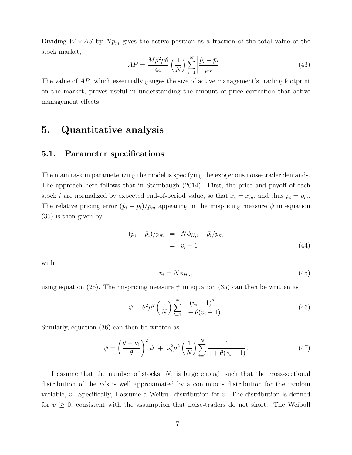Dividing  $W \times AS$  by  $Np_m$  gives the active position as a fraction of the total value of the stock market,

$$
AP = \frac{M\rho^2\mu\theta}{4c} \left(\frac{1}{N}\right) \sum_{i=1}^{N} \left|\frac{\hat{p}_i - \bar{p}_i}{p_m}\right|.
$$
 (43)

The value of AP, which essentially gauges the size of active management's trading footprint on the market, proves useful in understanding the amount of price correction that active management effects.

## 5. Quantitative analysis

#### 5.1. Parameter specifications

The main task in parameterizing the model is specifying the exogenous noise-trader demands. The approach here follows that in Stambaugh (2014). First, the price and payoff of each stock *i* are normalized by expected end-of-period value, so that  $\bar{x}_i = \bar{x}_m$ , and thus  $\bar{p}_i = p_m$ . The relative pricing error  $(\hat{p}_i - \bar{p}_i)/p_m$  appearing in the mispricing measure  $\psi$  in equation (35) is then given by

$$
(\hat{p}_i - \bar{p}_i)/p_m = N\phi_{H,i} - \bar{p}_i/p_m
$$

$$
= v_i - 1
$$
 (44)

with

$$
v_i = N\phi_{H,i},\tag{45}
$$

using equation (26). The mispricing measure  $\psi$  in equation (35) can then be written as

$$
\psi = \theta^2 \mu^2 \left(\frac{1}{N}\right) \sum_{i=1}^N \frac{(v_i - 1)^2}{1 + \theta(v_i - 1)}.
$$
\n(46)

Similarly, equation (36) can then be written as

$$
\tilde{\psi} = \left(\frac{\theta - \nu_1}{\theta}\right)^2 \psi + \nu_2^2 \mu^2 \left(\frac{1}{N}\right) \sum_{i=1}^N \frac{1}{1 + \theta(v_i - 1)}.
$$
\n(47)

I assume that the number of stocks, N, is large enough such that the cross-sectional distribution of the  $v_i$ 's is well approximated by a continuous distribution for the random variable,  $v$ . Specifically, I assume a Weibull distribution for  $v$ . The distribution is defined for  $v \geq 0$ , consistent with the assumption that noise-traders do not short. The Weibull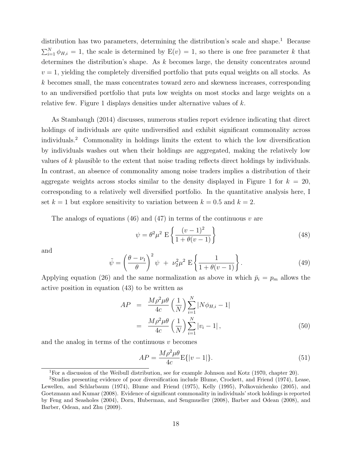distribution has two parameters, determining the distribution's scale and shape.<sup>1</sup> Because  $\sum_{i=1}^{N} \phi_{H,i} = 1$ , the scale is determined by  $E(v) = 1$ , so there is one free parameter k that determines the distribution's shape. As k becomes large, the density concentrates around  $v = 1$ , yielding the completely diversified portfolio that puts equal weights on all stocks. As k becomes small, the mass concentrates toward zero and skewness increases, corresponding to an undiversified portfolio that puts low weights on most stocks and large weights on a relative few. Figure 1 displays densities under alternative values of k.

As Stambaugh (2014) discusses, numerous studies report evidence indicating that direct holdings of individuals are quite undiversified and exhibit significant commonality across individuals.<sup>2</sup> Commonality in holdings limits the extent to which the low diversification by individuals washes out when their holdings are aggregated, making the relatively low values of k plausible to the extent that noise trading reflects direct holdings by individuals. In contrast, an absence of commonality among noise traders implies a distribution of their aggregate weights across stocks similar to the density displayed in Figure 1 for  $k = 20$ , corresponding to a relatively well diversified portfolio. In the quantitative analysis here, I set  $k = 1$  but explore sensitivity to variation between  $k = 0.5$  and  $k = 2$ .

The analogs of equations (46) and (47) in terms of the continuous  $v$  are

$$
\psi = \theta^2 \mu^2 \mathcal{E} \left\{ \frac{(v-1)^2}{1 + \theta(v-1)} \right\} \tag{48}
$$

and

$$
\tilde{\psi} = \left(\frac{\theta - \nu_1}{\theta}\right)^2 \psi + \nu_2^2 \mu^2 \mathbf{E} \left\{ \frac{1}{1 + \theta(v - 1)} \right\}.
$$
\n(49)

Applying equation (26) and the same normalization as above in which  $\bar{p}_i = p_m$  allows the active position in equation (43) to be written as

$$
AP = \frac{M\rho^2\mu\theta}{4c} \left(\frac{1}{N}\right) \sum_{i=1}^{N} |N\phi_{H,i} - 1|
$$
  

$$
= \frac{M\rho^2\mu\theta}{4c} \left(\frac{1}{N}\right) \sum_{i=1}^{N} |v_i - 1|,
$$
 (50)

and the analog in terms of the continuous  $v$  becomes

$$
AP = \frac{M\rho^2\mu\theta}{4c} \mathcal{E}\{|v-1|\}.
$$
\n(51)

<sup>&</sup>lt;sup>1</sup>For a discussion of the Weibull distribution, see for example Johnson and Kotz (1970, chapter 20).

<sup>2</sup>Studies presenting evidence of poor diversification include Blume, Crockett, and Friend (1974), Lease, Lewellen, and Schlarbaum (1974), Blume and Friend (1975), Kelly (1995), Polkovnichenko (2005), and Goetzmann and Kumar (2008). Evidence of significant commonality in individuals' stock holdings is reported by Feng and Seasholes (2004), Dorn, Huberman, and Sengmueller (2008), Barber and Odean (2008), and Barber, Odean, and Zhu (2009).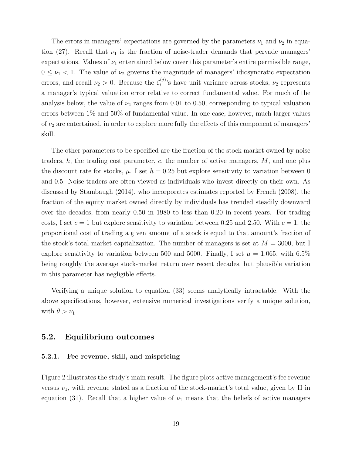The errors in managers' expectations are governed by the parameters  $\nu_1$  and  $\nu_2$  in equation (27). Recall that  $\nu_1$  is the fraction of noise-trader demands that pervade managers' expectations. Values of  $\nu_1$  entertained below cover this parameter's entire permissible range,  $0 \leq \nu_1 < 1$ . The value of  $\nu_2$  governs the magnitude of managers' idiosyncratic expectation errors, and recall  $\nu_2 > 0$ . Because the  $\zeta_i^{(j)}$  $i^{(j)}$ 's have unit variance across stocks,  $\nu_2$  represents a manager's typical valuation error relative to correct fundamental value. For much of the analysis below, the value of  $\nu_2$  ranges from 0.01 to 0.50, corresponding to typical valuation errors between 1% and 50% of fundamental value. In one case, however, much larger values of  $\nu_2$  are entertained, in order to explore more fully the effects of this component of managers' skill.

The other parameters to be specified are the fraction of the stock market owned by noise traders,  $h$ , the trading cost parameter,  $c$ , the number of active managers,  $M$ , and one plus the discount rate for stocks,  $\mu$ . I set  $h = 0.25$  but explore sensitivity to variation between 0 and 0.5. Noise traders are often viewed as individuals who invest directly on their own. As discussed by Stambaugh (2014), who incorporates estimates reported by French (2008), the fraction of the equity market owned directly by individuals has trended steadily downward over the decades, from nearly 0.50 in 1980 to less than 0.20 in recent years. For trading costs, I set  $c = 1$  but explore sensitivity to variation between 0.25 and 2.50. With  $c = 1$ , the proportional cost of trading a given amount of a stock is equal to that amount's fraction of the stock's total market capitalization. The number of managers is set at  $M = 3000$ , but I explore sensitivity to variation between 500 and 5000. Finally, I set  $\mu = 1.065$ , with 6.5% being roughly the average stock-market return over recent decades, but plausible variation in this parameter has negligible effects.

Verifying a unique solution to equation (33) seems analytically intractable. With the above specifications, however, extensive numerical investigations verify a unique solution, with  $\theta > \nu_1$ .

### 5.2. Equilibrium outcomes

#### 5.2.1. Fee revenue, skill, and mispricing

Figure 2 illustrates the study's main result. The figure plots active management's fee revenue versus  $\nu_1$ , with revenue stated as a fraction of the stock-market's total value, given by  $\Pi$  in equation (31). Recall that a higher value of  $\nu_1$  means that the beliefs of active managers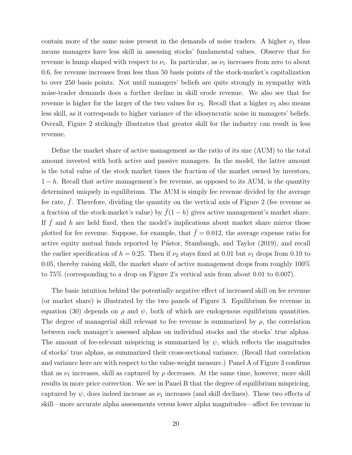contain more of the same noise present in the demands of noise traders. A higher  $\nu_1$  thus means managers have less skill in assessing stocks' fundamental values. Observe that fee revenue is hump shaped with respect to  $\nu_1$ . In particular, as  $\nu_1$  increases from zero to about 0.6, fee revenue increases from less than 50 basis points of the stock-market's capitalization to over 250 basis points. Not until managers' beliefs are quite strongly in sympathy with noise-trader demands does a further decline in skill erode revenue. We also see that fee revenue is higher for the larger of the two values for  $\nu_2$ . Recall that a higher  $\nu_2$  also means less skill, as it corresponds to higher variance of the idiosyncratic noise in managers' beliefs. Overall, Figure 2 strikingly illustrates that greater skill for the industry can result in less revenue.

Define the market share of active management as the ratio of its size (AUM) to the total amount invested with both active and passive managers. In the model, the latter amount is the total value of the stock market times the fraction of the market owned by investors,  $1-h$ . Recall that active management's fee revenue, as opposed to its AUM, is the quantity determined uniquely in equilibrium. The AUM is simply fee revenue divided by the average fee rate,  $\bar{f}$ . Therefore, dividing the quantity on the vertical axis of Figure 2 (fee revenue as a fraction of the stock-market's value) by  $\bar{f}(1-h)$  gives active management's market share. If  $\bar{f}$  and h are held fixed, then the model's implications about market share mirror those plotted for fee revenue. Suppose, for example, that  $\bar{f} = 0.012$ , the average expense ratio for active equity mutual funds reported by Pástor, Stambaugh, and Taylor (2019), and recall the earlier specification of  $h = 0.25$ . Then if  $\nu_2$  stays fixed at 0.01 but  $\nu_1$  drops from 0.10 to 0.05, thereby raising skill, the market share of active management drops from roughly 100% to 75% (corresponding to a drop on Figure 2's vertical axis from about 0.01 to 0.007).

The basic intuition behind the potentially negative effect of increased skill on fee revenue (or market share) is illustrated by the two panels of Figure 3. Equilibrium fee revenue in equation (30) depends on  $\rho$  and  $\psi$ , both of which are endogenous equilibrium quantities. The degree of managerial skill relevant to fee revenue is summarized by  $\rho$ , the correlation between each manager's assessed alphas on individual stocks and the stocks' true alphas. The amount of fee-relevant mispricing is summarized by  $\psi$ , which reflects the magnitudes of stocks' true alphas, as summarized their cross-sectional variance. (Recall that correlation and variance here are with respect to the value-weight measure.) Panel A of Figure 3 confirms that as  $\nu_1$  increases, skill as captured by  $\rho$  decreases. At the same time, however, more skill results in more price correction. We see in Panel B that the degree of equilibrium mispricing, captured by  $\psi$ , does indeed increase as  $\nu_1$  increases (and skill declines). These two effects of skill—more accurate alpha assessments versus lower alpha magnitudes—affect fee revenue in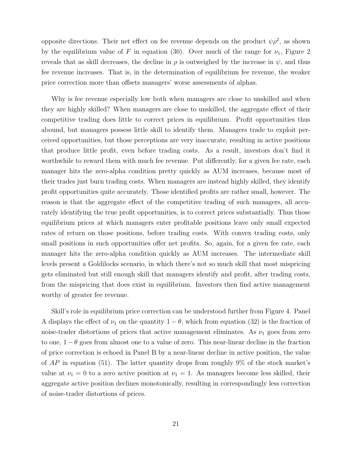opposite directions. Their net effect on fee revenue depends on the product  $\psi \rho^2$ , as shown by the equilibrium value of F in equation (30). Over much of the range for  $\nu_1$ , Figure 2 reveals that as skill decreases, the decline in  $\rho$  is outweighed by the increase in  $\psi$ , and thus fee revenue increases. That is, in the determination of equilibrium fee revenue, the weaker price correction more than offsets managers' worse assessments of alphas.

Why is fee revenue especially low both when managers are close to unskilled and when they are highly skilled? When managers are close to unskilled, the aggregate effect of their competitive trading does little to correct prices in equilibrium. Profit opportunities thus abound, but managers possess little skill to identify them. Managers trade to exploit perceived opportunities, but those perceptions are very inaccurate, resulting in active positions that produce little profit, even before trading costs. As a result, investors don't find it worthwhile to reward them with much fee revenue. Put differently, for a given fee rate, each manager hits the zero-alpha condition pretty quickly as AUM increases, because most of their trades just burn trading costs. When managers are instead highly skilled, they identify profit opportunities quite accurately. Those identified profits are rather small, however. The reason is that the aggregate effect of the competitive trading of such managers, all accurately identifying the true profit opportunities, is to correct prices substantially. Thus those equilibrium prices at which managers enter profitable positions leave only small expected rates of return on those positions, before trading costs. With convex trading costs, only small positions in such opportunities offer net profits. So, again, for a given fee rate, each manager hits the zero-alpha condition quickly as AUM increases. The intermediate skill levels present a Goldilocks scenario, in which there's not so much skill that most mispricing gets eliminated but still enough skill that managers identify and profit, after trading costs, from the mispricing that does exist in equilibrium. Investors then find active management worthy of greater fee revenue.

Skill's role in equilibrium price correction can be understood further from Figure 4. Panel A displays the effect of  $\nu_1$  on the quantity  $1 - \theta$ , which from equation (32) is the fraction of noise-trader distortions of prices that active management eliminates. As  $\nu_1$  goes from zero to one,  $1 - \theta$  goes from almost one to a value of zero. This near-linear decline in the fraction of price correction is echoed in Panel B by a near-linear decline in active position, the value of  $AP$  in equation (51). The latter quantity drops from roughly  $9\%$  of the stock market's value at  $\nu_1 = 0$  to a zero active position at  $\nu_1 = 1$ . As managers become less skilled, their aggregate active position declines monotonically, resulting in correspondingly less correction of noise-trader distortions of prices.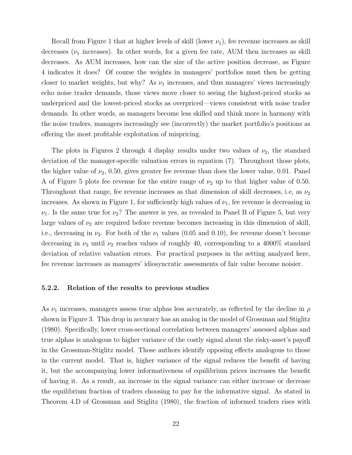Recall from Figure 1 that at higher levels of skill (lower  $\nu_1$ ), fee revenue increases as skill decreases ( $\nu_1$  increases). In other words, for a given fee rate, AUM then increases as skill decreases. As AUM increases, how can the size of the active position decrease, as Figure 4 indicates it does? Of course the weights in managers' portfolios must then be getting closer to market weights, but why? As  $\nu_1$  increases, and thus managers' views increasingly echo noise trader demands, those views move closer to seeing the highest-priced stocks as underpriced and the lowest-priced stocks as overpriced—views consistent with noise trader demands. In other words, as managers become less skilled and think more in harmony with the noise traders, managers increasingly see (incorrectly) the market portfolio's positions as offering the most profitable exploitation of mispricing.

The plots in Figures 2 through 4 display results under two values of  $\nu_2$ , the standard deviation of the manager-specific valuation errors in equation (7). Throughout those plots, the higher value of  $\nu_2$ , 0.50, gives greater fee revenue than does the lower value, 0.01. Panel A of Figure 5 plots fee revenue for the entire range of  $\nu_2$  up to that higher value of 0.50. Throughout that range, fee revenue increases as that dimension of skill decreases, i.e, as  $\nu_2$ increases. As shown in Figure 1, for sufficiently high values of  $\nu_1$ , fee revenue is decreasing in  $\nu_1$ . Is the same true for  $\nu_2$ ? The answer is yes, as revealed in Panel B of Figure 5, but very large values of  $\nu_2$  are required before revenue becomes increasing in this dimension of skill, i.e., decreasing in  $\nu_2$ . For both of the  $\nu_1$  values (0.05 and 0.10), fee revenue doesn't become decreasing in  $\nu_2$  until  $\nu_2$  reaches values of roughly 40, corresponding to a 4000% standard deviation of relative valuation errors. For practical purposes in the setting analyzed here, fee revenue increases as managers' idiosyncratic assessments of fair value become noisier.

#### 5.2.2. Relation of the results to previous studies

As  $\nu_1$  increases, managers assess true alphas less accurately, as reflected by the decline in  $\rho$ shown in Figure 3. This drop in accuracy has an analog in the model of Grossman and Stiglitz (1980). Specifically, lower cross-sectional correlation between managers' assessed alphas and true alphas is analogous to higher variance of the costly signal about the risky-asset's payoff in the Grossman-Stiglitz model. Those authors identify opposing effects analogous to those in the current model. That is, higher variance of the signal reduces the benefit of having it, but the accompanying lower informativeness of equilibrium prices increases the benefit of having it. As a result, an increase in the signal variance can either increase or decrease the equilibrium fraction of traders choosing to pay for the informative signal. As stated in Theorem 4.D of Grossman and Stiglitz (1980), the fraction of informed traders rises with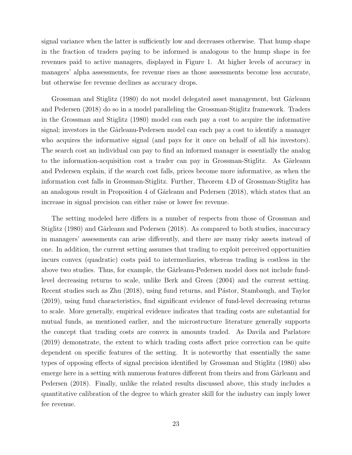signal variance when the latter is sufficiently low and decreases otherwise. That hump shape in the fraction of traders paying to be informed is analogous to the hump shape in fee revenues paid to active managers, displayed in Figure 1. At higher levels of accuracy in managers' alpha assessments, fee revenue rises as those assessments become less accurate, but otherwise fee revenue declines as accuracy drops.

Grossman and Stiglitz (1980) do not model delegated asset management, but Gârleanu and Pedersen (2018) do so in a model paralleling the Grossman-Stiglitz framework. Traders in the Grossman and Stiglitz (1980) model can each pay a cost to acquire the informative signal; investors in the Gârleanu-Pedersen model can each pay a cost to identify a manager who acquires the informative signal (and pays for it once on behalf of all his investors). The search cost an individual can pay to find an informed manager is essentially the analog to the information-acquisition cost a trader can pay in Grossman-Stiglitz. As Gârleanu and Pedersen explain, if the search cost falls, prices become more informative, as when the information cost falls in Grossman-Stiglitz. Further, Theorem 4.D of Grossman-Stiglitz has an analogous result in Proposition 4 of Gârleanu and Pedersen  $(2018)$ , which states that an increase in signal precision can either raise or lower fee revenue.

The setting modeled here differs in a number of respects from those of Grossman and Stiglitz (1980) and Gârleanu and Pedersen (2018). As compared to both studies, inaccuracy in managers' assessments can arise differently, and there are many risky assets instead of one. In addition, the current setting assumes that trading to exploit perceived opportunities incurs convex (quadratic) costs paid to intermediaries, whereas trading is costless in the above two studies. Thus, for example, the Gârleanu-Pedersen model does not include fundlevel decreasing returns to scale, unlike Berk and Green (2004) and the current setting. Recent studies such as Zhu (2018), using fund returns, and Pástor, Stambaugh, and Taylor (2019), using fund characteristics, find significant evidence of fund-level decreasing returns to scale. More generally, empirical evidence indicates that trading costs are substantial for mutual funds, as mentioned earlier, and the microstructure literature generally supports the concept that trading costs are convex in amounts traded. As Davila and Parlatore (2019) demonstrate, the extent to which trading costs affect price correction can be quite dependent on specific features of the setting. It is noteworthy that essentially the same types of opposing effects of signal precision identified by Grossman and Stiglitz (1980) also emerge here in a setting with numerous features different from theirs and from Gârleanu and Pedersen (2018). Finally, unlike the related results discussed above, this study includes a quantitative calibration of the degree to which greater skill for the industry can imply lower fee revenue.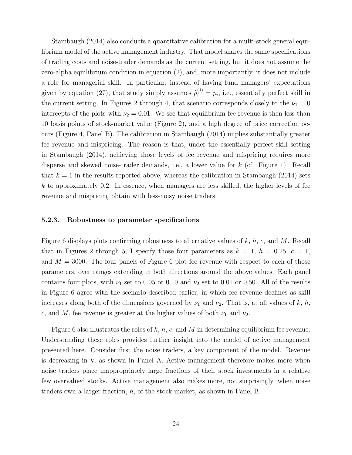Stambaugh (2014) also conducts a quantitative calibration for a multi-stock general equilibrium model of the active management industry. That model shares the same specifications of trading costs and noise-trader demands as the current setting, but it does not assume the zero-alpha equilibrium condition in equation (2), and, more importantly, it does not include a role for managerial skill. In particular, instead of having fund managers' expectations given by equation (27), that study simply assumes  $\tilde{p}_i^{(j)} = \bar{p}_i$ , i.e., essentially perfect skill in the current setting. In Figures 2 through 4, that scenario corresponds closely to the  $\nu_1 = 0$ intercepts of the plots with  $\nu_2 = 0.01$ . We see that equilibrium fee revenue is then less than 10 basis points of stock-market value (Figure 2), and a high degree of price correction occurs (Figure 4, Panel B). The calibration in Stambaugh (2014) implies substantially greater fee revenue and mispricing. The reason is that, under the essentially perfect-skill setting in Stambaugh (2014), achieving those levels of fee revenue and mispricing requires more disperse and skewed noise-trader demands, i.e., a lower value for k (cf. Figure 1). Recall that  $k = 1$  in the results reported above, whereas the calibration in Stambaugh (2014) sets  $k$  to approximately 0.2. In essence, when managers are less skilled, the higher levels of fee revenue and mispricing obtain with less-noisy noise traders.

#### 5.2.3. Robustness to parameter specifications

Figure 6 displays plots confirming robustness to alternative values of  $k$ ,  $h$ ,  $c$ , and  $M$ . Recall that in Figures 2 through 5, I specify those four parameters as  $k = 1$ ,  $h = 0.25$ ,  $c = 1$ , and  $M = 3000$ . The four panels of Figure 6 plot fee revenue with respect to each of those parameters, over ranges extending in both directions around the above values. Each panel contains four plots, with  $\nu_1$  set to 0.05 or 0.10 and  $\nu_2$  set to 0.01 or 0.50. All of the results in Figure 6 agree with the scenario described earlier, in which fee revenue declines as skill increases along both of the dimensions governed by  $\nu_1$  and  $\nu_2$ . That is, at all values of k, h, c, and M, fee revenue is greater at the higher values of both  $\nu_1$  and  $\nu_2$ .

Figure 6 also illustrates the roles of k, h, c, and M in determining equilibrium fee revenue. Understanding these roles provides further insight into the model of active management presented here. Consider first the noise traders, a key component of the model. Revenue is decreasing in  $k$ , as shown in Panel A. Active management therefore makes more when noise traders place inappropriately large fractions of their stock investments in a relative few overvalued stocks. Active management also makes more, not surprisingly, when noise traders own a larger fraction,  $h$ , of the stock market, as shown in Panel B.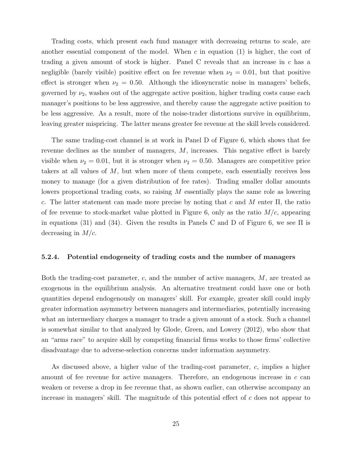Trading costs, which present each fund manager with decreasing returns to scale, are another essential component of the model. When c in equation  $(1)$  is higher, the cost of trading a given amount of stock is higher. Panel C reveals that an increase in  $c$  has a negligible (barely visible) positive effect on fee revenue when  $\nu_2 = 0.01$ , but that positive effect is stronger when  $\nu_2 = 0.50$ . Although the idiosyncratic noise in managers' beliefs, governed by  $\nu_2$ , washes out of the aggregate active position, higher trading costs cause each manager's positions to be less aggressive, and thereby cause the aggregate active position to be less aggressive. As a result, more of the noise-trader distortions survive in equilibrium, leaving greater mispricing. The latter means greater fee revenue at the skill levels considered.

The same trading-cost channel is at work in Panel D of Figure 6, which shows that fee revenue declines as the number of managers, M, increases. This negative effect is barely visible when  $\nu_2 = 0.01$ , but it is stronger when  $\nu_2 = 0.50$ . Managers are competitive price takers at all values of  $M$ , but when more of them compete, each essentially receives less money to manage (for a given distribution of fee rates). Trading smaller dollar amounts lowers proportional trading costs, so raising M essentially plays the same role as lowering c. The latter statement can made more precise by noting that c and M enter  $\Pi$ , the ratio of fee revenue to stock-market value plotted in Figure 6, only as the ratio  $M/c$ , appearing in equations (31) and (34). Given the results in Panels C and D of Figure 6, we see  $\Pi$  is decreasing in  $M/c$ .

#### 5.2.4. Potential endogeneity of trading costs and the number of managers

Both the trading-cost parameter,  $c$ , and the number of active managers,  $M$ , are treated as exogenous in the equilibrium analysis. An alternative treatment could have one or both quantities depend endogenously on managers' skill. For example, greater skill could imply greater information asymmetry between managers and intermediaries, potentially increasing what an intermediary charges a manager to trade a given amount of a stock. Such a channel is somewhat similar to that analyzed by Glode, Green, and Lowery (2012), who show that an "arms race" to acquire skill by competing financial firms works to those firms' collective disadvantage due to adverse-selection concerns under information asymmetry.

As discussed above, a higher value of the trading-cost parameter, c, implies a higher amount of fee revenue for active managers. Therefore, an endogenous increase in c can weaken or reverse a drop in fee revenue that, as shown earlier, can otherwise accompany an increase in managers' skill. The magnitude of this potential effect of  $c$  does not appear to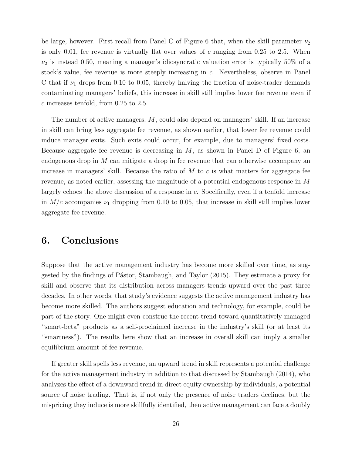be large, however. First recall from Panel C of Figure 6 that, when the skill parameter  $\nu_2$ is only 0.01, fee revenue is virtually flat over values of c ranging from 0.25 to 2.5. When  $\nu_2$  is instead 0.50, meaning a manager's idiosyncratic valuation error is typically 50% of a stock's value, fee revenue is more steeply increasing in c. Nevertheless, observe in Panel C that if  $\nu_1$  drops from 0.10 to 0.05, thereby halving the fraction of noise-trader demands contaminating managers' beliefs, this increase in skill still implies lower fee revenue even if c increases tenfold, from 0.25 to 2.5.

The number of active managers, M, could also depend on managers' skill. If an increase in skill can bring less aggregate fee revenue, as shown earlier, that lower fee revenue could induce manager exits. Such exits could occur, for example, due to managers' fixed costs. Because aggregate fee revenue is decreasing in  $M$ , as shown in Panel D of Figure 6, an endogenous drop in M can mitigate a drop in fee revenue that can otherwise accompany an increase in managers' skill. Because the ratio of  $M$  to  $c$  is what matters for aggregate fee revenue, as noted earlier, assessing the magnitude of a potential endogenous response in M largely echoes the above discussion of a response in c. Specifically, even if a tenfold increase in  $M/c$  accompanies  $\nu_1$  dropping from 0.10 to 0.05, that increase in skill still implies lower aggregate fee revenue.

## 6. Conclusions

Suppose that the active management industry has become more skilled over time, as suggested by the findings of Pástor, Stambaugh, and Taylor (2015). They estimate a proxy for skill and observe that its distribution across managers trends upward over the past three decades. In other words, that study's evidence suggests the active management industry has become more skilled. The authors suggest education and technology, for example, could be part of the story. One might even construe the recent trend toward quantitatively managed "smart-beta" products as a self-proclaimed increase in the industry's skill (or at least its "smartness"). The results here show that an increase in overall skill can imply a smaller equilibrium amount of fee revenue.

If greater skill spells less revenue, an upward trend in skill represents a potential challenge for the active management industry in addition to that discussed by Stambaugh (2014), who analyzes the effect of a downward trend in direct equity ownership by individuals, a potential source of noise trading. That is, if not only the presence of noise traders declines, but the mispricing they induce is more skillfully identified, then active management can face a doubly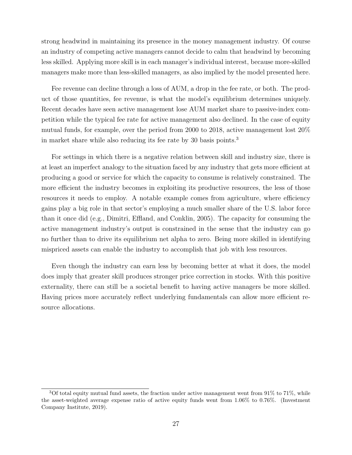strong headwind in maintaining its presence in the money management industry. Of course an industry of competing active managers cannot decide to calm that headwind by becoming less skilled. Applying more skill is in each manager's individual interest, because more-skilled managers make more than less-skilled managers, as also implied by the model presented here.

Fee revenue can decline through a loss of AUM, a drop in the fee rate, or both. The product of those quantities, fee revenue, is what the model's equilibrium determines uniquely. Recent decades have seen active management lose AUM market share to passive-index competition while the typical fee rate for active management also declined. In the case of equity mutual funds, for example, over the period from 2000 to 2018, active management lost 20% in market share while also reducing its fee rate by 30 basis points.<sup>3</sup>

For settings in which there is a negative relation between skill and industry size, there is at least an imperfect analogy to the situation faced by any industry that gets more efficient at producing a good or service for which the capacity to consume is relatively constrained. The more efficient the industry becomes in exploiting its productive resources, the less of those resources it needs to employ. A notable example comes from agriculture, where efficiency gains play a big role in that sector's employing a much smaller share of the U.S. labor force than it once did (e.g., Dimitri, Effland, and Conklin, 2005). The capacity for consuming the active management industry's output is constrained in the sense that the industry can go no further than to drive its equilibrium net alpha to zero. Being more skilled in identifying mispriced assets can enable the industry to accomplish that job with less resources.

Even though the industry can earn less by becoming better at what it does, the model does imply that greater skill produces stronger price correction in stocks. With this positive externality, there can still be a societal benefit to having active managers be more skilled. Having prices more accurately reflect underlying fundamentals can allow more efficient resource allocations.

 $3$ Of total equity mutual fund assets, the fraction under active management went from 91% to 71%, while the asset-weighted average expense ratio of active equity funds went from 1.06% to 0.76%. (Investment Company Institute, 2019).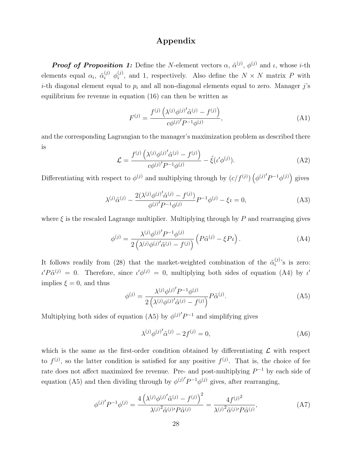### Appendix

**Proof of Proposition 1:** Define the N-element vectors  $\alpha$ ,  $\tilde{\alpha}^{(j)}$ ,  $\phi^{(j)}$  and  $\iota$ , whose *i*-th elements equal  $\alpha_i$ ,  $\tilde{\alpha}_i^{(j)}$   $\phi_i^{(j)}$  $i^{(j)}$ , and 1, respectively. Also define the  $N \times N$  matrix P with *i*-th diagonal element equal to  $p_i$  and all non-diagonal elements equal to zero. Manager j's equilibrium fee revenue in equation (16) can then be written as

$$
F^{(j)} = \frac{f^{(j)}(\lambda^{(j)}\phi^{(j)'}\tilde{\alpha}^{(j)} - f^{(j)})}{c\phi^{(j)'}P^{-1}\phi^{(j)}},
$$
\n(A1)

and the corresponding Lagrangian to the manager's maximization problem as described there is

$$
\mathcal{L} = \frac{f^{(j)}(\lambda^{(j)}\phi^{(j)'}\tilde{\alpha}^{(j)} - f^{(j)})}{c\phi^{(j)'}P^{-1}\phi^{(j)}} - \tilde{\xi}(\iota'\phi^{(j)}).
$$
 (A2)

Differentiating with respect to  $\phi^{(j)}$  and multiplying through by  $(c/f^{(j)}) (\phi^{(j)'}P^{-1}\phi^{(j)})$  gives

$$
\lambda^{(j)}\tilde{\alpha}^{(j)} - \frac{2(\lambda^{(j)}\phi^{(j)'}\tilde{\alpha}^{(j)} - f^{(j)})}{\phi^{(j)'}P^{-1}\phi^{(j)}}P^{-1}\phi^{(j)} - \xi\iota = 0,
$$
\n(A3)

where  $\xi$  is the rescaled Lagrange multiplier. Multiplying through by P and rearranging gives

$$
\phi^{(j)} = \frac{\lambda^{(j)} \phi^{(j)} P^{-1} \phi^{(j)}}{2 \left( \lambda^{(j)} \phi^{(j)} \tilde{\alpha}^{(j)} - f^{(j)} \right)} \left( P \tilde{\alpha}^{(j)} - \xi P \iota \right). \tag{A4}
$$

It follows readily from (28) that the market-weighted combination of the  $\tilde{\alpha}_i^{(j)}$  $i^{(j)}$ 's is zero:  $\iota' P \tilde{\alpha}^{(j)} = 0$ . Therefore, since  $\iota' \phi^{(j)} = 0$ , multiplying both sides of equation (A4) by  $\iota'$ implies  $\xi = 0$ , and thus

$$
\phi^{(j)} = \frac{\lambda^{(j)} \phi^{(j)} P^{-1} \phi^{(j)}}{2 \left( \lambda^{(j)} \phi^{(j)} \tilde{\alpha}^{(j)} - f^{(j)} \right)} P \tilde{\alpha}^{(j)}.
$$
\n(A5)

Multiplying both sides of equation (A5) by  $\phi^{(j)}P^{-1}$  and simplifying gives

$$
\lambda^{(j)}\phi^{(j)'}\tilde{\alpha}^{(j)} - 2f^{(j)} = 0,\tag{A6}
$$

which is the same as the first-order condition obtained by differentiating  $\mathcal L$  with respect to  $f^{(j)}$ , so the latter condition is satisfied for any positive  $f^{(j)}$ . That is, the choice of fee rate does not affect maximized fee revenue. Pre- and post-multiplying  $P^{-1}$  by each side of equation (A5) and then dividing through by  $\phi^{(j)'}P^{-1}\phi^{(j)}$  gives, after rearranging,

$$
\phi^{(j)'}P^{-1}\phi^{(j)} = \frac{4\left(\lambda^{(j)}\phi^{(j)'}\tilde{\alpha}^{(j)} - f^{(j)}\right)^2}{\lambda^{(j)^2}\tilde{\alpha}^{(j)'}P\tilde{\alpha}^{(j)}} = \frac{4f^{(j)^2}}{\lambda^{(j)^2}\tilde{\alpha}^{(j)'}P\tilde{\alpha}^{(j)}},\tag{A7}
$$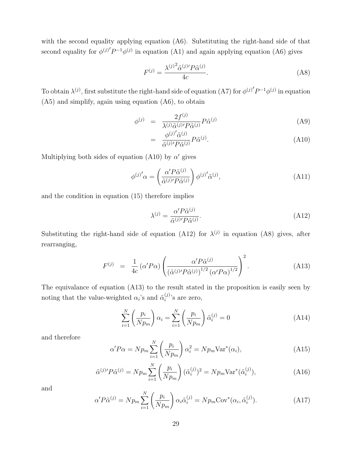with the second equality applying equation (A6). Substituting the right-hand side of that second equality for  $\phi^{(j)'}P^{-1}\phi^{(j)}$  in equation (A1) and again applying equation (A6) gives

$$
F^{(j)} = \frac{\lambda^{(j)}^2 \tilde{\alpha}^{(j)} P \tilde{\alpha}^{(j)}}{4c}.
$$
 (A8)

To obtain  $\lambda^{(j)}$ , first substitute the right-hand side of equation (A7) for  $\phi^{(j)'}P^{-1}\phi^{(j)}$  in equation (A5) and simplify, again using equation (A6), to obtain

$$
\phi^{(j)} = \frac{2f^{(j)}}{\lambda^{(j)}\tilde{\alpha}^{(j)'}P\tilde{\alpha}^{(j)}}P\tilde{\alpha}^{(j)}\tag{A9}
$$

$$
= \frac{\phi^{(j)'}\tilde{\alpha}^{(j)}}{\tilde{\alpha}^{(j)}P\tilde{\alpha}^{(j)}}P\tilde{\alpha}^{(j)}.
$$
\n(A10)

Multiplying both sides of equation (A10) by  $\alpha'$  gives

$$
\phi^{(j)'}\alpha = \left(\frac{\alpha' P\tilde{\alpha}^{(j)}}{\tilde{\alpha}^{(j)} P\tilde{\alpha}^{(j)}}\right) \phi^{(j)'}\tilde{\alpha}^{(j)},\tag{A11}
$$

and the condition in equation (15) therefore implies

$$
\lambda^{(j)} = \frac{\alpha' P \tilde{\alpha}^{(j)}}{\tilde{\alpha}^{(j)} P \tilde{\alpha}^{(j)}}.
$$
\n(A12)

Substituting the right-hand side of equation (A12) for  $\lambda^{(j)}$  in equation (A8) gives, after rearranging,

$$
F^{(j)} = \frac{1}{4c} \left( \alpha' P \alpha \right) \left( \frac{\alpha' P \tilde{\alpha}^{(j)}}{\left( \tilde{\alpha}^{(j)} P \tilde{\alpha}^{(j)} \right)^{1/2} \left( \alpha' P \alpha \right)^{1/2}} \right)^2.
$$
 (A13)

The equivalance of equation (A13) to the result stated in the proposition is easily seen by noting that the value-weighted  $\alpha_i$ 's and  $\tilde{\alpha}_i^{(j)}$  $i^{(j)}$ 's are zero,

$$
\sum_{i=1}^{N} \left( \frac{p_i}{N p_m} \right) \alpha_i = \sum_{i=1}^{N} \left( \frac{p_i}{N p_m} \right) \tilde{\alpha}_i^{(j)} = 0 \tag{A14}
$$

and therefore

$$
\alpha' P \alpha = N p_m \sum_{i=1}^{N} \left( \frac{p_i}{N p_m} \right) \alpha_i^2 = N p_m \text{Var}^*(\alpha_i), \tag{A15}
$$

$$
\tilde{\alpha}^{(j)}P\tilde{\alpha}^{(j)} = Np_m \sum_{i=1}^{N} \left(\frac{p_i}{Np_m}\right) (\tilde{\alpha}_i^{(j)})^2 = Np_m \text{Var}^*(\tilde{\alpha}_i^{(j)}),\tag{A16}
$$

and

$$
\alpha' P \tilde{\alpha}^{(j)} = N p_m \sum_{i=1}^{N} \left( \frac{p_i}{N p_m} \right) \alpha_i \tilde{\alpha}_i^{(j)} = N p_m \text{Cov}^*(\alpha_i, \tilde{\alpha}_i^{(j)}).
$$
 (A17)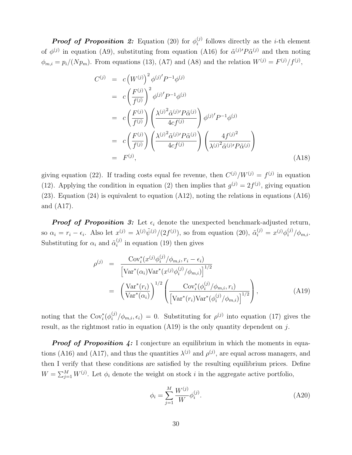**Proof of Proposition 2:** Equation (20) for  $\phi_i^{(j)}$  $i^{(j)}$  follows directly as the *i*-th element of  $\phi^{(j)}$  in equation (A9), substituting from equation (A16) for  $\tilde{\alpha}^{(j)}P\tilde{\alpha}^{(j)}$  and then noting  $\phi_{m,i} = p_i/(N p_m)$ . From equations (13), (A7) and (A8) and the relation  $W^{(j)} = F^{(j)}/f^{(j)}$ ,

$$
C^{(j)} = c \left(W^{(j)}\right)^2 \phi^{(j)} P^{-1} \phi^{(j)}
$$
  
\n
$$
= c \left(\frac{F^{(j)}}{f^{(j)}}\right)^2 \phi^{(j)} P^{-1} \phi^{(j)}
$$
  
\n
$$
= c \left(\frac{F^{(j)}}{f^{(j)}}\right) \left(\frac{\lambda^{(j)}^2 \tilde{\alpha}^{(j)} P \tilde{\alpha}^{(j)}}{4cf^{(j)}}\right) \phi^{(j)} P^{-1} \phi^{(j)}
$$
  
\n
$$
= c \left(\frac{F^{(j)}}{f^{(j)}}\right) \left(\frac{\lambda^{(j)}^2 \tilde{\alpha}^{(j)} P \tilde{\alpha}^{(j)}}{4cf^{(j)}}\right) \left(\frac{4f^{(j)^2}}{\lambda^{(j)}^2 \tilde{\alpha}^{(j)} P \tilde{\alpha}^{(j)}}\right)
$$
  
\n
$$
= F^{(j)}, \qquad (A18)
$$

giving equation (22). If trading costs equal fee revenue, then  $C^{(j)}/W^{(j)} = f^{(j)}$  in equation (12). Applying the condition in equation (2) then implies that  $g^{(j)} = 2f^{(j)}$ , giving equation (23). Equation (24) is equivalent to equation (A12), noting the relations in equations (A16) and (A17).

**Proof of Proposition 3:** Let  $\epsilon_i$  denote the unexpected benchmark-adjusted return, so  $\alpha_i = r_i - \epsilon_i$ . Also let  $x^{(j)} = \frac{\lambda^{(j)} \tilde{\psi}^{(j)}}{2f^{(j)}}$ , so from equation (20),  $\tilde{\alpha}_i^{(j)} = x^{(j)} \phi_i^{(j)}/\phi_{m,i}$ . Substituting for  $\alpha_i$  and  $\tilde{\alpha}_i^{(j)}$  $i^{(j)}$  in equation (19) then gives

$$
\rho^{(j)} = \frac{\text{Cov}_i^*(x^{(j)} \phi_i^{(j)} / \phi_{m,i}, r_i - \epsilon_i)}{\left[\text{Var}^*(\alpha_i) \text{Var}^*(x^{(j)} \phi_i^{(j)} / \phi_{m,i})\right]^{1/2}} = \left(\frac{\text{Var}^*(r_i)}{\text{Var}^*(\alpha_i)}\right)^{1/2} \left(\frac{\text{Cov}_i^*(\phi_i^{(j)} / \phi_{m,i}, r_i)}{\left[\text{Var}^*(r_i) \text{Var}^*(\phi_i^{(j)} / \phi_{m,i})\right]^{1/2}}\right),
$$
\n(A19)

noting that the Cov<sub>i</sub><sup>\*</sup>( $\phi_i^{(j)}/\phi_{m,i}, \epsilon_i$ ) = 0. Substituting for  $\rho^{(j)}$  into equation (17) gives the result, as the rightmost ratio in equation  $(A19)$  is the only quantity dependent on j.

**Proof of Proposition 4:** I conjecture an equilibrium in which the moments in equations (A16) and (A17), and thus the quantities  $\lambda^{(j)}$  and  $\rho^{(j)}$ , are equal across managers, and then I verify that these conditions are satisfied by the resulting equilibrium prices. Define  $W = \sum_{j=1}^{M} W^{(j)}$ . Let  $\phi_i$  denote the weight on stock i in the aggregate active portfolio,

$$
\phi_i = \sum_{j=1}^{M} \frac{W^{(j)}}{W} \phi_i^{(j)}.
$$
\n(A20)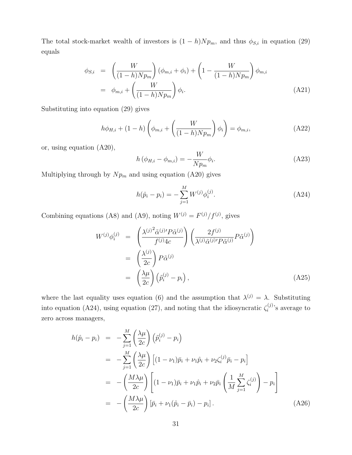The total stock-market wealth of investors is  $(1-h)Np_m$ , and thus  $\phi_{S,i}$  in equation (29) equals

$$
\phi_{S,i} = \left(\frac{W}{(1-h)Np_m}\right)(\phi_{m,i} + \phi_i) + \left(1 - \frac{W}{(1-h)Np_m}\right)\phi_{m,i}
$$

$$
= \phi_{m,i} + \left(\frac{W}{(1-h)Np_m}\right)\phi_i.
$$
(A21)

Substituting into equation (29) gives

$$
h\phi_{H,i} + (1-h)\left(\phi_{m,i} + \left(\frac{W}{(1-h)Np_m}\right)\phi_i\right) = \phi_{m,i},\tag{A22}
$$

or, using equation (A20),

$$
h\left(\phi_{H,i} - \phi_{m,i}\right) = -\frac{W}{N p_m} \phi_i.
$$
\n(A23)

Multiplying through by  $Np_m$  and using equation (A20) gives

$$
h(\hat{p}_i - p_i) = -\sum_{j=1}^{M} W^{(j)} \phi_i^{(j)}.
$$
 (A24)

Combining equations (A8) and (A9), noting  $W^{(j)} = F^{(j)}/f^{(j)}$ , gives

$$
W^{(j)}\phi_i^{(j)} = \left(\frac{\lambda^{(j)}^2 \tilde{\alpha}^{(j)'} P \tilde{\alpha}^{(j)}}{f^{(j)} 4c}\right) \left(\frac{2f^{(j)}}{\lambda^{(j)} \tilde{\alpha}^{(j)'} P \tilde{\alpha}^{(j)}} P \tilde{\alpha}^{(j)}\right)
$$
  

$$
= \left(\frac{\lambda^{(j)}}{2c}\right) P \tilde{\alpha}^{(j)}
$$
  

$$
= \left(\frac{\lambda \mu}{2c}\right) \left(\tilde{p}_i^{(j)} - p_i\right), \tag{A25}
$$

where the last equality uses equation (6) and the assumption that  $\lambda^{(j)} = \lambda$ . Substituting into equation (A24), using equation (27), and noting that the idiosyncratic  $\zeta_i^{(j)}$  $i^{(j)}$ 's average to zero across managers,

$$
h(\hat{p}_i - p_i) = -\sum_{j=1}^M \left(\frac{\lambda \mu}{2c}\right) (\tilde{p}_i^{(j)} - p_i)
$$
  
\n
$$
= -\sum_{j=1}^M \left(\frac{\lambda \mu}{2c}\right) [(1 - \nu_1)\bar{p}_i + \nu_1 \hat{p}_i + \nu_2 \zeta_i^{(j)} \bar{p}_i - p_i]
$$
  
\n
$$
= -\left(\frac{M\lambda \mu}{2c}\right) \left[ (1 - \nu_1)\bar{p}_i + \nu_1 \hat{p}_i + \nu_2 \bar{p}_i \left(\frac{1}{M} \sum_{j=1}^M \zeta_i^{(j)}\right) - p_i \right]
$$
  
\n
$$
= -\left(\frac{M\lambda \mu}{2c}\right) [\bar{p}_i + \nu_1 (\hat{p}_i - \bar{p}_i) - p_i].
$$
 (A26)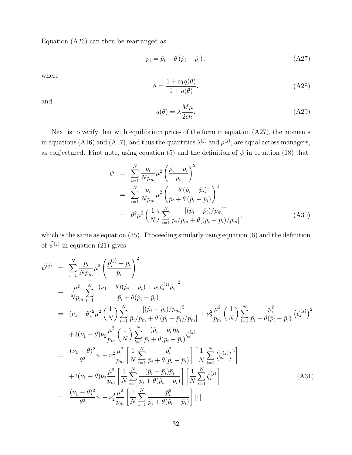Equation (A26) can then be rearranged as

$$
p_i = \bar{p}_i + \theta \left( \hat{p}_i - \bar{p}_i \right), \tag{A27}
$$

where

$$
\theta = \frac{1 + \nu_1 q(\theta)}{1 + q(\theta)}.
$$
\n(A28)

and

$$
q(\theta) = \lambda \frac{M\mu}{2ch}.\tag{A29}
$$

Next is to verify that with equilibrium prices of the form in equation (A27), the moments in equations (A16) and (A17), and thus the quantities  $\lambda^{(j)}$  and  $\rho^{(j)}$ , are equal across managers, as conjectured. First note, using equation (5) and the definition of  $\psi$  in equation (18) that

$$
\psi = \sum_{i=1}^{N} \frac{p_i}{N p_m} \mu^2 \left( \frac{\bar{p}_i - p_i}{p_i} \right)^2 \n= \sum_{i=1}^{N} \frac{p_i}{N p_m} \mu^2 \left( \frac{-\theta (\hat{p}_i - \bar{p}_i)}{\bar{p}_i + \theta (\hat{p}_i - \bar{p}_i)} \right)^2 \n= \theta^2 \mu^2 \left( \frac{1}{N} \right) \sum_{i=1}^{N} \frac{[(\hat{p}_i - \bar{p}_i)/p_m]^2}{\bar{p}_i/p_m + \theta [(\hat{p}_i - \bar{p}_i)/p_m]},
$$
\n(A30)

which is the same as equation (35). Proceeding similarly using equation (6) and the definition of  $\tilde{\psi}^{(j)}$  in equation (21) gives

$$
\tilde{\psi}^{(j)} = \sum_{i=1}^{N} \frac{p_i}{N p_m} \mu^2 \left( \frac{\tilde{p}_i^{(j)} - p_i}{p_i} \right)^2 \n= \frac{\mu^2}{N p_m} \sum_{i=1}^{N} \frac{\left[ (\nu_1 - \theta)(\hat{p}_i - \bar{p}_i) + \nu_2 \zeta_i^{(j)} \bar{p}_i \right]^2}{\bar{p}_i + \theta(\hat{p}_i - \bar{p}_i)} \n= (\nu_1 - \theta)^2 \mu^2 \left( \frac{1}{N} \right) \sum_{i=1}^{N} \frac{\left[ (\hat{p}_i - \bar{p}_i)/p_m \right]^2}{\bar{p}_i / p_m + \theta[(\hat{p}_i - \bar{p}_i)/p_m]} + \nu_2^2 \frac{\mu^2}{p_m} \left( \frac{1}{N} \right) \sum_{i=1}^{N} \frac{\bar{p}_i^2}{\bar{p}_i + \theta(\hat{p}_i - \bar{p}_i)} \left( \zeta_i^{(j)} \right)^2 \n+ 2(\nu_1 - \theta) \nu_2 \frac{\mu^2}{p_m} \left( \frac{1}{N} \right) \sum_{i=1}^{N} \frac{(\hat{p}_i - \bar{p}_i)\bar{p}_i}{\bar{p}_i + \theta(\hat{p}_i - \bar{p}_i)} \zeta_i^{(j)} \n= \frac{(\nu_1 - \theta)^2}{\theta^2} \psi + \nu_2^2 \frac{\mu^2}{p_m} \left[ \frac{1}{N} \sum_{i=1}^{N} \frac{\bar{p}_i^2}{\bar{p}_i + \theta(\hat{p}_i - \bar{p}_i)} \right] \left[ \frac{1}{N} \sum_{i=1}^{N} \left( \zeta_i^{(j)} \right)^2 \right] \n+ 2(\nu_1 - \theta) \nu_2 \frac{\mu^2}{p_m} \left[ \frac{1}{N} \sum_{i=1}^{N} \frac{(\hat{p}_i - \bar{p}_i)\bar{p}_i}{\bar{p}_i + \theta(\hat{p}_i - \bar{p}_i)} \right] \left[ \frac{1}{N} \sum_{i=1}^{N} \zeta_i^{(j)} \right] \n= \frac{(\nu_1 - \theta)^2}{\theta^2} \psi + \nu_2^2 \frac{\mu^2}{p
$$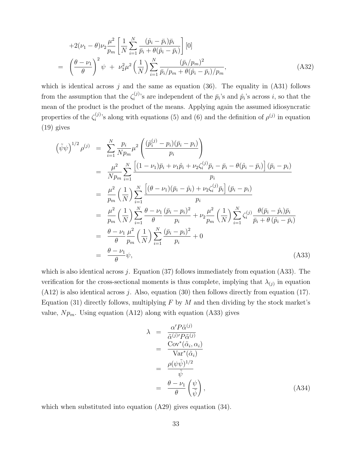$$
+2(\nu_1 - \theta)\nu_2 \frac{\mu^2}{p_m} \left[ \frac{1}{N} \sum_{i=1}^N \frac{(\hat{p}_i - \bar{p}_i)\bar{p}_i}{\bar{p}_i + \theta(\hat{p}_i - \bar{p}_i)} \right] [0]
$$
  
=  $\left(\frac{\theta - \nu_1}{\theta}\right)^2 \psi + \nu_2^2 \mu^2 \left(\frac{1}{N}\right) \sum_{i=1}^N \frac{(\bar{p}_i/p_m)^2}{\bar{p}_i/p_m + \theta(\hat{p}_i - \bar{p}_i)/p_m},$  (A32)

which is identical across j and the same as equation  $(36)$ . The equality in  $(A31)$  follows from the assumption that the  $\zeta_i^{(j)}$  $\hat{p}_i$ 's are independent of the  $\bar{p}_i$ 's and  $\hat{p}_i$ 's across *i*, so that the mean of the product is the product of the means. Applying again the assumed idiosyncratic properties of the  $\zeta_i^{(j)}$ <sup>(j)</sup>'s along with equations (5) and (6) and the definition of  $\rho^{(j)}$  in equation (19) gives

$$
\left(\tilde{\psi}\psi\right)^{1/2}\rho^{(j)} = \sum_{i=1}^{N} \frac{p_i}{Np_m} \mu^2 \left(\frac{(\tilde{p}_i^{(j)} - p_i)(\bar{p}_i - p_i)}{p_i}\right)
$$
\n
$$
= \frac{\mu^2}{Np_m} \sum_{i=1}^{N} \frac{\left[ (1 - \nu_1)\bar{p}_i + \nu_1\hat{p}_i + \nu_2\zeta_i^{(j)}\bar{p}_i - \bar{p}_i - \theta(\hat{p}_i - \bar{p}_i) \right] (\bar{p}_i - p_i)}{p_i}
$$
\n
$$
= \frac{\mu^2}{p_m} \left(\frac{1}{N}\right) \sum_{i=1}^{N} \frac{\left[ (\theta - \nu_1)(\bar{p}_i - \hat{p}_i) + \nu_2\zeta_i^{(j)}\bar{p}_i \right] (\bar{p}_i - p_i)}{p_i}
$$
\n
$$
= \frac{\mu^2}{p_m} \left(\frac{1}{N}\right) \sum_{i=1}^{N} \frac{\theta - \nu_1}{\theta} \frac{(\bar{p}_i - p_i)^2}{p_i} + \nu_2 \frac{\mu^2}{p_m} \left(\frac{1}{N}\right) \sum_{i=1}^{N} \zeta_i^{(j)} \frac{\theta(\bar{p}_i - \hat{p}_i)\bar{p}_i}{\bar{p}_i + \theta(\hat{p}_i - \bar{p}_i)}
$$
\n
$$
= \frac{\theta - \nu_1}{\theta} \frac{\mu^2}{p_m} \left(\frac{1}{N}\right) \sum_{i=1}^{N} \frac{(\bar{p}_i - p_i)^2}{p_i} + 0
$$
\n
$$
= \frac{\theta - \nu_1}{\theta} \psi,
$$
\n(A33)

which is also identical across  $j$ . Equation (37) follows immediately from equation (A33). The verification for the cross-sectional moments is thus complete, implying that  $\lambda_{(j)}$  in equation  $(A12)$  is also identical across j. Also, equation (30) then follows directly from equation (17). Equation (31) directly follows, multiplying  $F$  by  $M$  and then dividing by the stock market's value,  $Np_m$ . Using equation (A12) along with equation (A33) gives

$$
\lambda = \frac{\alpha' P \tilde{\alpha}^{(j)}}{\tilde{\alpha}^{(j)} P \tilde{\alpha}^{(j)}}
$$
\n
$$
= \frac{\text{Cov}^*(\tilde{\alpha}_i, \alpha_i)}{\text{Var}^*(\tilde{\alpha}_i)}
$$
\n
$$
= \frac{\rho(\psi \tilde{\psi})^{1/2}}{\tilde{\psi}}
$$
\n
$$
= \frac{\theta - \nu_1}{\theta} \left(\frac{\psi}{\tilde{\psi}}\right), \tag{A34}
$$

which when substituted into equation  $(A29)$  gives equation  $(34)$ .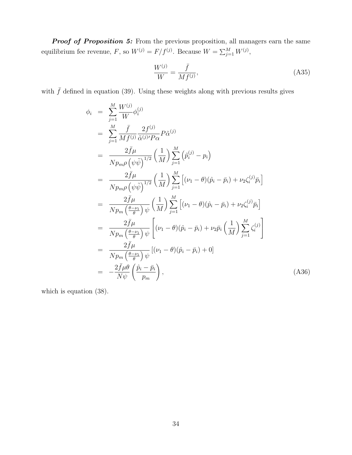**Proof of Proposition 5:** From the previous proposition, all managers earn the same equilibrium fee revenue, F, so  $W^{(j)} = F/f^{(j)}$ . Because  $W = \sum_{j=1}^{M} W^{(j)}$ ,

$$
\frac{W^{(j)}}{W} = \frac{\bar{f}}{M f^{(j)}},\tag{A35}
$$

with  $\bar{f}$  defined in equation (39). Using these weights along with previous results gives

$$
\phi_{i} = \sum_{j=1}^{M} \frac{W^{(j)}}{W} \phi_{i}^{(j)}
$$
\n
$$
= \sum_{j=1}^{M} \frac{\bar{f}}{Mf^{(j)}} \frac{2f^{(j)}}{\tilde{\alpha}^{(j)'}P\alpha} P\tilde{\alpha}^{(j)}
$$
\n
$$
= \frac{2\bar{f}\mu}{N p_{m} \rho (\psi \tilde{\psi})^{1/2}} \left(\frac{1}{M}\right) \sum_{j=1}^{M} (\tilde{p}_{i}^{(j)} - p_{i})
$$
\n
$$
= \frac{2\bar{f}\mu}{N p_{m} \rho (\psi \tilde{\psi})^{1/2}} \left(\frac{1}{M}\right) \sum_{j=1}^{M} [(v_{1} - \theta)(\hat{p}_{i} - \bar{p}_{i}) + \nu_{2} \zeta_{i}^{(j)} \bar{p}_{i}]
$$
\n
$$
= \frac{2\bar{f}\mu}{N p_{m} (\frac{\theta - \nu_{1}}{\theta}) \psi} \left(\frac{1}{M}\right) \sum_{j=1}^{M} [(v_{1} - \theta)(\hat{p}_{i} - \bar{p}_{i}) + \nu_{2} \zeta_{i}^{(j)} \bar{p}_{i}]
$$
\n
$$
= \frac{2\bar{f}\mu}{N p_{m} (\frac{\theta - \nu_{1}}{\theta}) \psi} \left[(v_{1} - \theta)(\hat{p}_{i} - \bar{p}_{i}) + \nu_{2} \bar{p}_{i} (\frac{1}{M}) \sum_{j=1}^{M} \zeta_{i}^{(j)}\right]
$$
\n
$$
= \frac{2\bar{f}\mu}{N p_{m} (\frac{\theta - \nu_{1}}{\theta}) \psi} [(v_{1} - \theta)(\hat{p}_{i} - \bar{p}_{i}) + 0]
$$
\n
$$
= -\frac{2\bar{f}\mu \theta}{N p_{m} (\frac{\theta - \nu_{1}}{\theta}) \psi}, \qquad (A36)
$$

which is equation (38).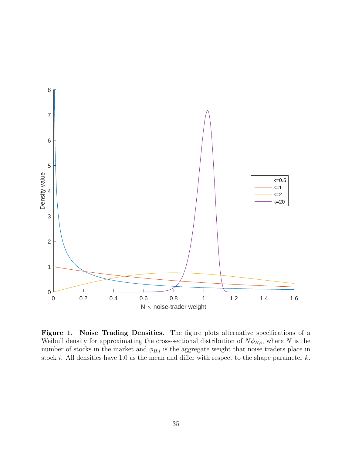

Figure 1. Noise Trading Densities. The figure plots alternative specifications of a Weibull density for approximating the cross-sectional distribution of  $N\phi_{H,i}$ , where N is the number of stocks in the market and  $\phi_{H,i}$  is the aggregate weight that noise traders place in stock *i*. All densities have 1.0 as the mean and differ with respect to the shape parameter  $k$ .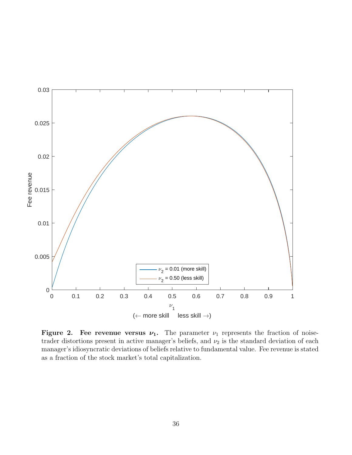

Figure 2. Fee revenue versus  $\nu_1$ . The parameter  $\nu_1$  represents the fraction of noisetrader distortions present in active manager's beliefs, and  $\nu_2$  is the standard deviation of each manager's idiosyncratic deviations of beliefs relative to fundamental value. Fee revenue is stated as a fraction of the stock market's total capitalization.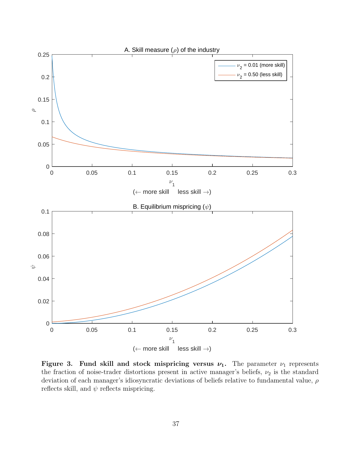

Figure 3. Fund skill and stock mispricing versus  $\nu_1$ . The parameter  $\nu_1$  represents the fraction of noise-trader distortions present in active manager's beliefs,  $\nu_2$  is the standard deviation of each manager's idiosyncratic deviations of beliefs relative to fundamental value,  $\rho$ reflects skill, and  $\psi$  reflects mispricing.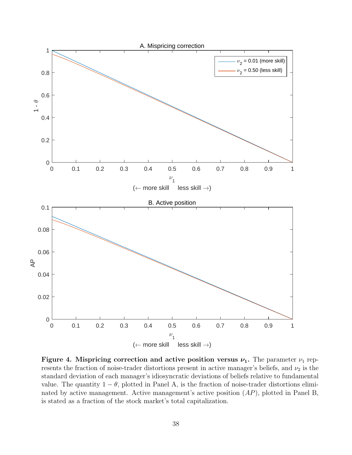

Figure 4. Mispricing correction and active position versus  $\nu_1$ . The parameter  $\nu_1$  represents the fraction of noise-trader distortions present in active manager's beliefs, and  $\nu_2$  is the standard deviation of each manager's idiosyncratic deviations of beliefs relative to fundamental value. The quantity  $1 - \theta$ , plotted in Panel A, is the fraction of noise-trader distortions eliminated by active management. Active management's active position (AP), plotted in Panel B, is stated as a fraction of the stock market's total capitalization.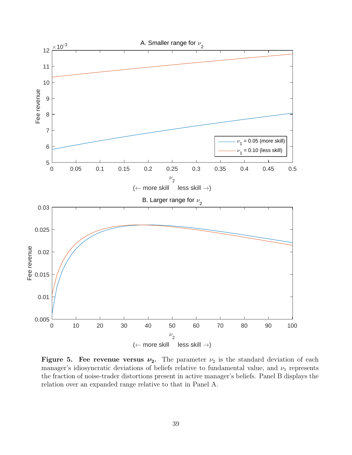

Figure 5. Fee revenue versus  $\nu_2$ . The parameter  $\nu_2$  is the standard deviation of each manager's idiosyncratic deviations of beliefs relative to fundamental value, and  $\nu_1$  represents the fraction of noise-trader distortions present in active manager's beliefs. Panel B displays the relation over an expanded range relative to that in Panel A.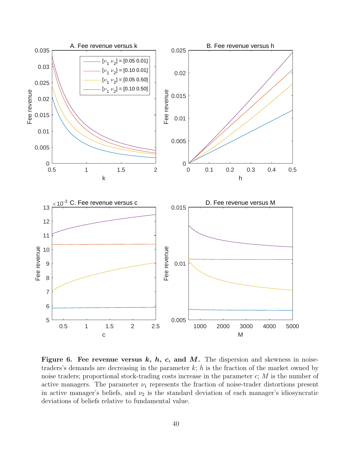

Figure 6. Fee revenue versus  $k, h, c,$  and  $M$ . The dispersion and skewness in noisetraders's demands are decreasing in the parameter  $k$ ; h is the fraction of the market owned by noise traders; proportional stock-trading costs increase in the parameter c; M is the number of active managers. The parameter  $\nu_1$  represents the fraction of noise-trader distortions present in active manager's beliefs, and  $\nu_2$  is the standard deviation of each manager's idiosyncratic deviations of beliefs relative to fundamental value.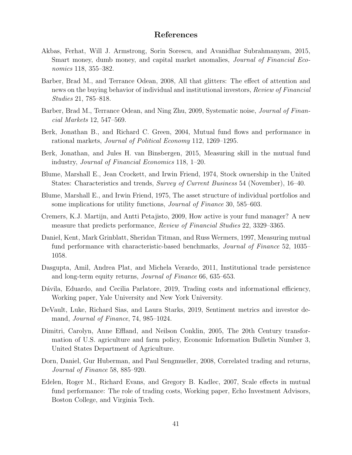### References

- Akbas, Ferhat, Will J. Armstrong, Sorin Sorescu, and Avanidhar Subrahmanyam, 2015, Smart money, dumb money, and capital market anomalies, *Journal of Financial Eco*nomics 118, 355–382.
- Barber, Brad M., and Terrance Odean, 2008, All that glitters: The effect of attention and news on the buying behavior of individual and institutional investors, Review of Financial Studies 21, 785–818.
- Barber, Brad M., Terrance Odean, and Ning Zhu, 2009, Systematic noise, *Journal of Finan*cial Markets 12, 547–569.
- Berk, Jonathan B., and Richard C. Green, 2004, Mutual fund flows and performance in rational markets, Journal of Political Economy 112, 1269–1295.
- Berk, Jonathan, and Jules H. van Binsbergen, 2015, Measuring skill in the mutual fund industry, Journal of Financial Economics 118, 1–20.
- Blume, Marshall E., Jean Crockett, and Irwin Friend, 1974, Stock ownership in the United States: Characteristics and trends, *Survey of Current Business* 54 (November), 16–40.
- Blume, Marshall E., and Irwin Friend, 1975, The asset structure of individual portfolios and some implications for utility functions, *Journal of Finance* 30, 585–603.
- Cremers, K.J. Martijn, and Antti Petajisto, 2009, How active is your fund manager? A new measure that predicts performance, *Review of Financial Studies* 22, 3329–3365.
- Daniel, Kent, Mark Grinblatt, Sheridan Titman, and Russ Wermers, 1997, Measuring mutual fund performance with characteristic-based benchmarks, *Journal of Finance* 52, 1035– 1058.
- Dasgupta, Amil, Andrea Plat, and Michela Verardo, 2011, Institutional trade persistence and long-term equity returns, Journal of Finance 66, 635–653.
- Dávila, Eduardo, and Cecilia Parlatore, 2019, Trading costs and informational efficiency, Working paper, Yale University and New York University.
- DeVault, Luke, Richard Sias, and Laura Starks, 2019, Sentiment metrics and investor demand, *Journal of Finance*, 74, 985–1024.
- Dimitri, Carolyn, Anne Effland, and Neilson Conklin, 2005, The 20th Century transformation of U.S. agriculture and farm policy, Economic Information Bulletin Number 3, United States Department of Agriculture.
- Dorn, Daniel, Gur Huberman, and Paul Sengmueller, 2008, Correlated trading and returns, Journal of Finance 58, 885–920.
- Edelen, Roger M., Richard Evans, and Gregory B. Kadlec, 2007, Scale effects in mutual fund performance: The role of trading costs, Working paper, Echo Investment Advisors, Boston College, and Virginia Tech.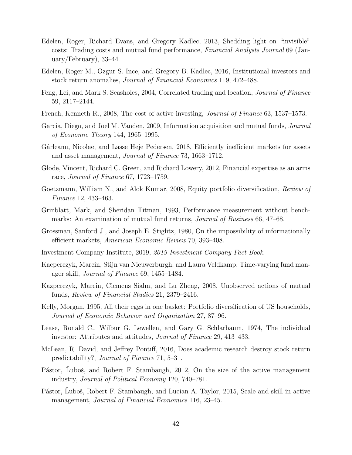- Edelen, Roger, Richard Evans, and Gregory Kadlec, 2013, Shedding light on "invisible" costs: Trading costs and mutual fund performance, Financial Analysts Journal 69 (January/February), 33–44.
- Edelen, Roger M., Ozgur S. Ince, and Gregory B. Kadlec, 2016, Institutional investors and stock return anomalies, Journal of Financial Economics 119, 472–488.
- Feng, Lei, and Mark S. Seasholes, 2004, Correlated trading and location, Journal of Finance 59, 2117–2144.
- French, Kenneth R., 2008, The cost of active investing, Journal of Finance 63, 1537–1573.
- Garcia, Diego, and Joel M. Vanden, 2009, Information acquisition and mutual funds, Journal of Economic Theory 144, 1965–1995.
- Gârleanu, Nicolae, and Lasse Heje Pedersen, 2018, Efficiently inefficient markets for assets and asset management, Journal of Finance 73, 1663–1712.
- Glode, Vincent, Richard C. Green, and Richard Lowery, 2012, Financial expertise as an arms race, Journal of Finance 67, 1723–1759.
- Goetzmann, William N., and Alok Kumar, 2008, Equity portfolio diversification, Review of Finance 12, 433–463.
- Grinblatt, Mark, and Sheridan Titman, 1993, Performance measurement without benchmarks: An examination of mutual fund returns, *Journal of Business* 66, 47–68.
- Grossman, Sanford J., and Joseph E. Stiglitz, 1980, On the impossibility of informationally efficient markets, American Economic Review 70, 393–408.
- Investment Company Institute, 2019, 2019 Investment Company Fact Book.
- Kacperczyk, Marcin, Stijn van Nieuwerburgh, and Laura Veldkamp, Time-varying fund manager skill, Journal of Finance 69, 1455–1484.
- Kazperczyk, Marcin, Clemens Sialm, and Lu Zheng, 2008, Unobserved actions of mutual funds, Review of Financial Studies 21, 2379–2416.
- Kelly, Morgan, 1995, All their eggs in one basket: Portfolio diversification of US households, Journal of Economic Behavior and Organization 27, 87–96.
- Lease, Ronald C., Wilbur G. Lewellen, and Gary G. Schlarbaum, 1974, The individual investor: Attributes and attitudes, Journal of Finance 29, 413–433.
- McLean, R. David, and Jeffrey Pontiff, 2016, Does academic research destroy stock return predictability?, Journal of Finance 71, 5–31.
- Pástor, Luboš, and Robert F. Stambaugh, 2012, On the size of the active management industry, Journal of Political Economy 120, 740–781.
- Pástor, Ľuboš, Robert F. Stambaugh, and Lucian A. Taylor, 2015, Scale and skill in active management, *Journal of Financial Economics* 116, 23–45.